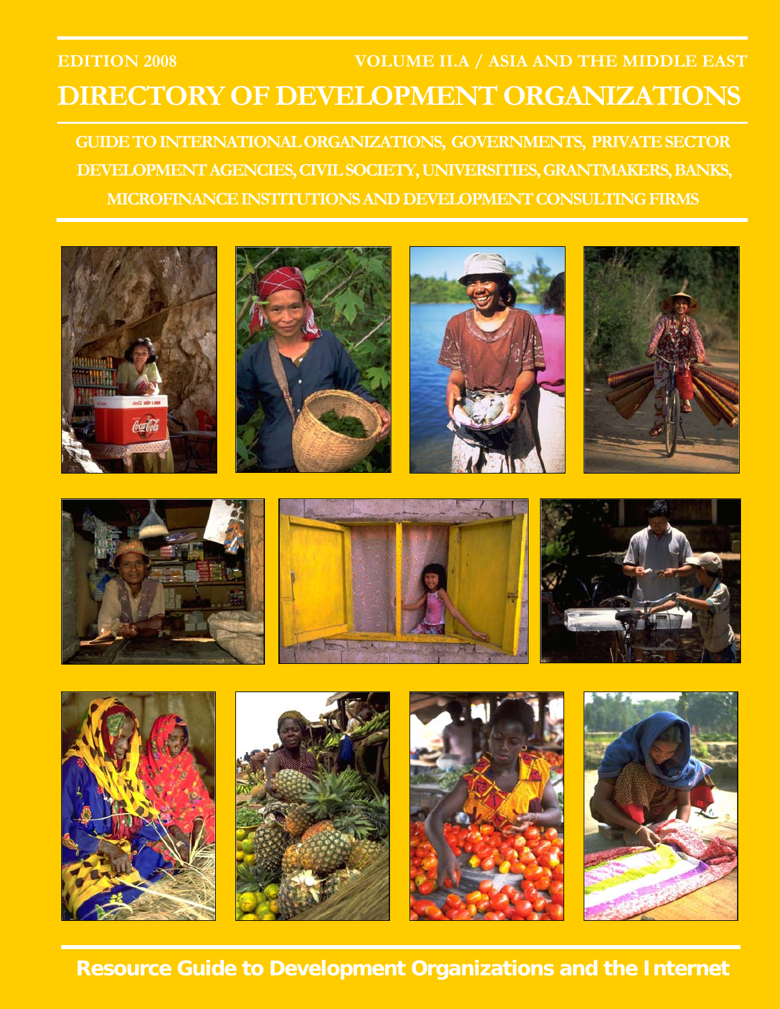## **EDITION 2008 VOLUME II.A / ASIA AND THE MIDDLE EAST DIRECTORY OF DEVELOPMENT ORGANIZATIONS**

**GUIDE TO INTERNATIONAL ORGANIZATIONS, GOVERNMENTS, PRIVATE SECTOR DEVELOPMENT AGENCIES, CIVIL SOCIETY, UNIVERSITIES, GRANTMAKERS, BANKS, MICROFINANCE INSTITUTIONS AND DEVELOPMENT CONSULTING FIRMS** 



**Resource Guide to Development Organizations and the Internet**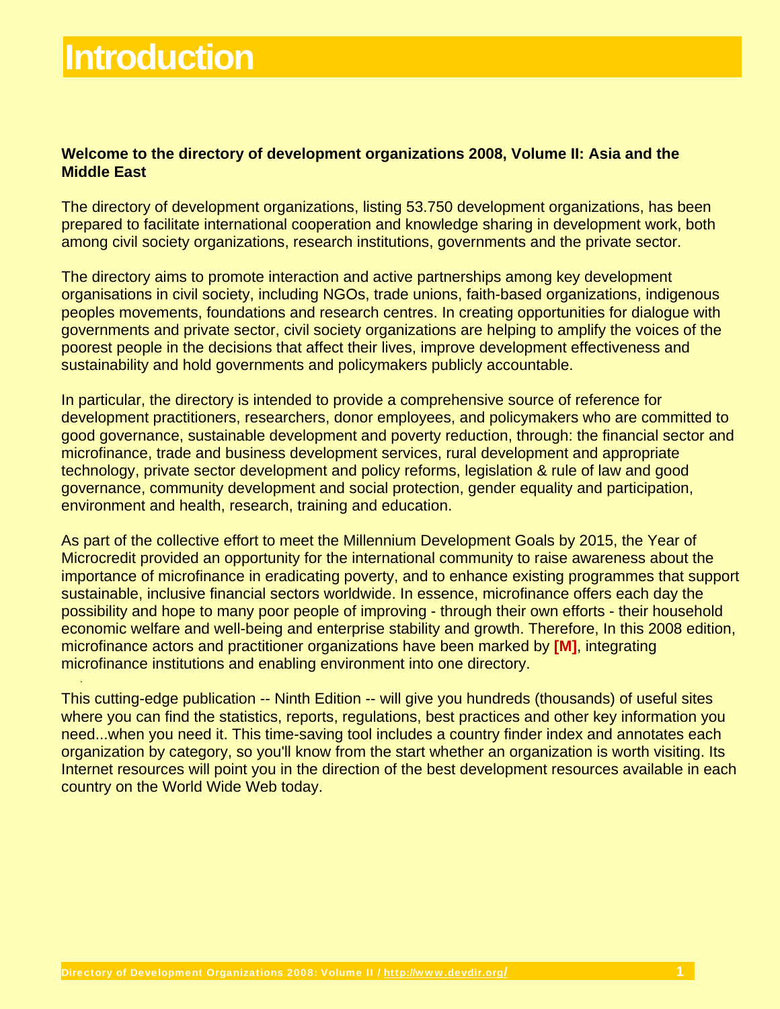# **Introduction**

#### **Welcome to the directory of development organizations 2008, Volume II: Asia and the Middle East**

The directory of development organizations, listing 53.750 development organizations, has been prepared to facilitate international cooperation and knowledge sharing in development work, both among civil society organizations, research institutions, governments and the private sector.

The directory aims to promote interaction and active partnerships among key development organisations in civil society, including NGOs, trade unions, faith-based organizations, indigenous peoples movements, foundations and research centres. In creating opportunities for dialogue with governments and private sector, civil society organizations are helping to amplify the voices of the poorest people in the decisions that affect their lives, improve development effectiveness and sustainability and hold governments and policymakers publicly accountable.

In particular, the directory is intended to provide a comprehensive source of reference for development practitioners, researchers, donor employees, and policymakers who are committed to good governance, sustainable development and poverty reduction, through: the financial sector and microfinance, trade and business development services, rural development and appropriate technology, private sector development and policy reforms, legislation & rule of law and good governance, community development and social protection, gender equality and participation, environment and health, research, training and education.

As part of the collective effort to meet the Millennium Development Goals by 2015, the Year of Microcredit provided an opportunity for the international community to raise awareness about the importance of microfinance in eradicating poverty, and to enhance existing programmes that support sustainable, inclusive financial sectors worldwide. In essence, microfinance offers each day the possibility and hope to many poor people of improving - through their own efforts - their household economic welfare and well-being and enterprise stability and growth. Therefore, In this 2008 edition, microfinance actors and practitioner organizations have been marked by **[M]**, integrating microfinance institutions and enabling environment into one directory.

This cutting-edge publication -- Ninth Edition -- will give you hundreds (thousands) of useful sites where you can find the statistics, reports, regulations, best practices and other key information you need...when you need it. This time-saving tool includes a country finder index and annotates each organization by category, so you'll know from the start whether an organization is worth visiting. Its Internet resources will point you in the direction of the best development resources available in each country on the World Wide Web today.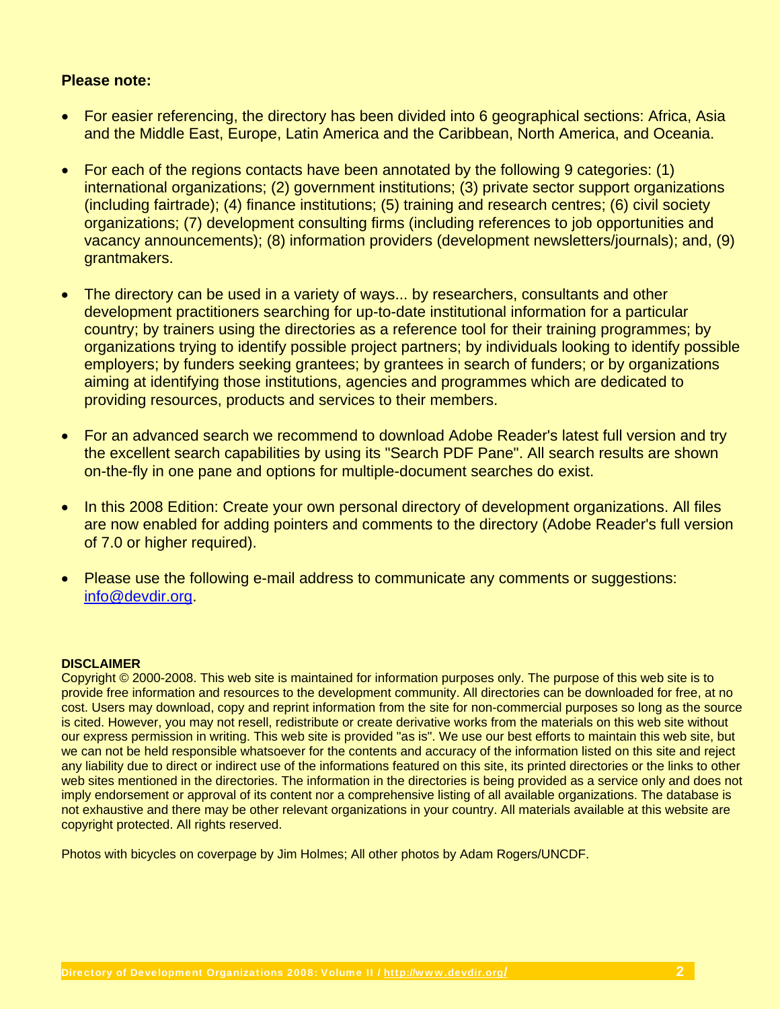#### **Please note:**

- For easier referencing, the directory has been divided into 6 geographical sections: Africa, Asia and the Middle East, Europe, Latin America and the Caribbean, North America, and Oceania.
- For each of the regions contacts have been annotated by the following 9 categories: (1) international organizations; (2) government institutions; (3) private sector support organizations (including fairtrade); (4) finance institutions; (5) training and research centres; (6) civil society organizations; (7) development consulting firms (including references to job opportunities and vacancy announcements); (8) information providers (development newsletters/journals); and, (9) grantmakers.
- The directory can be used in a variety of ways... by researchers, consultants and other development practitioners searching for up-to-date institutional information for a particular country; by trainers using the directories as a reference tool for their training programmes; by organizations trying to identify possible project partners; by individuals looking to identify possible employers; by funders seeking grantees; by grantees in search of funders; or by organizations aiming at identifying those institutions, agencies and programmes which are dedicated to providing resources, products and services to their members.
- For an advanced search we recommend to download Adobe Reader's latest full version and try the excellent search capabilities by using its "Search PDF Pane". All search results are shown on-the-fly in one pane and options for multiple-document searches do exist.
- In this 2008 Edition: Create your own personal directory of development organizations. All files are now enabled for adding pointers and comments to the directory (Adobe Reader's full version of 7.0 or higher required).
- Please use the following e-mail address to communicate any comments or suggestions: info@devdir.org.

#### **DISCLAIMER**

Copyright © 2000-2008. This web site is maintained for information purposes only. The purpose of this web site is to provide free information and resources to the development community. All directories can be downloaded for free, at no cost. Users may download, copy and reprint information from the site for non-commercial purposes so long as the source is cited. However, you may not resell, redistribute or create derivative works from the materials on this web site without our express permission in writing. This web site is provided "as is". We use our best efforts to maintain this web site, but we can not be held responsible whatsoever for the contents and accuracy of the information listed on this site and reject any liability due to direct or indirect use of the informations featured on this site, its printed directories or the links to other web sites mentioned in the directories. The information in the directories is being provided as a service only and does not imply endorsement or approval of its content nor a comprehensive listing of all available organizations. The database is not exhaustive and there may be other relevant organizations in your country. All materials available at this website are copyright protected. All rights reserved.

Photos with bicycles on coverpage by Jim Holmes; All other photos by Adam Rogers/UNCDF.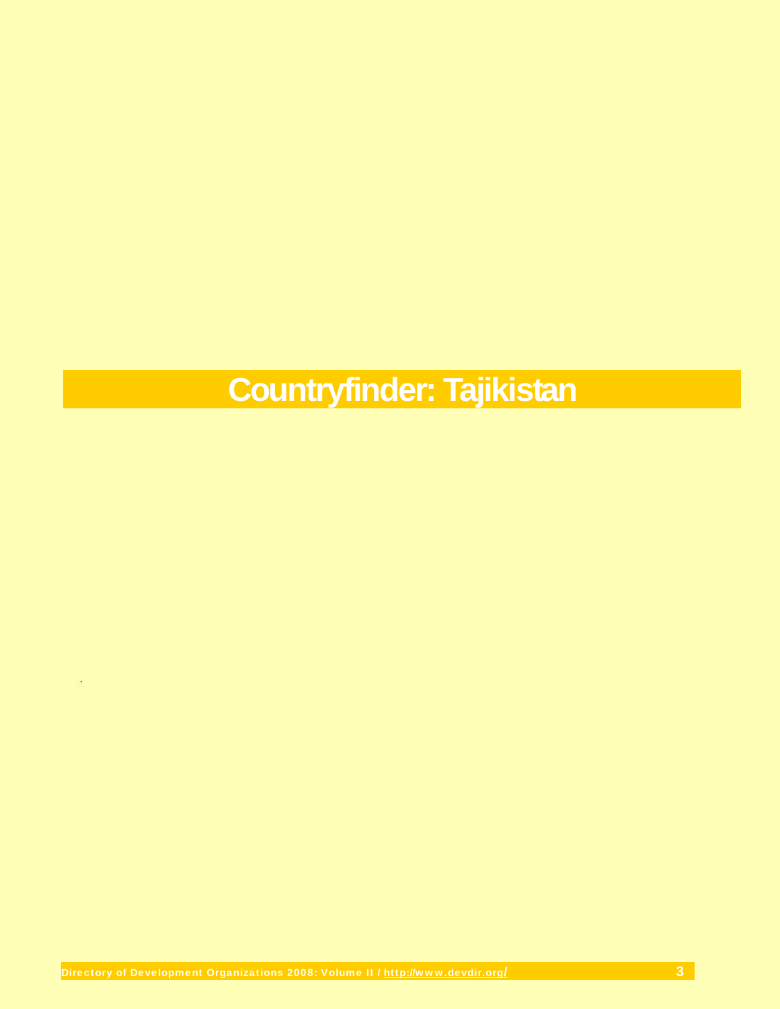# **Countryfinder: Tajikistan**

 $\mathcal{L}$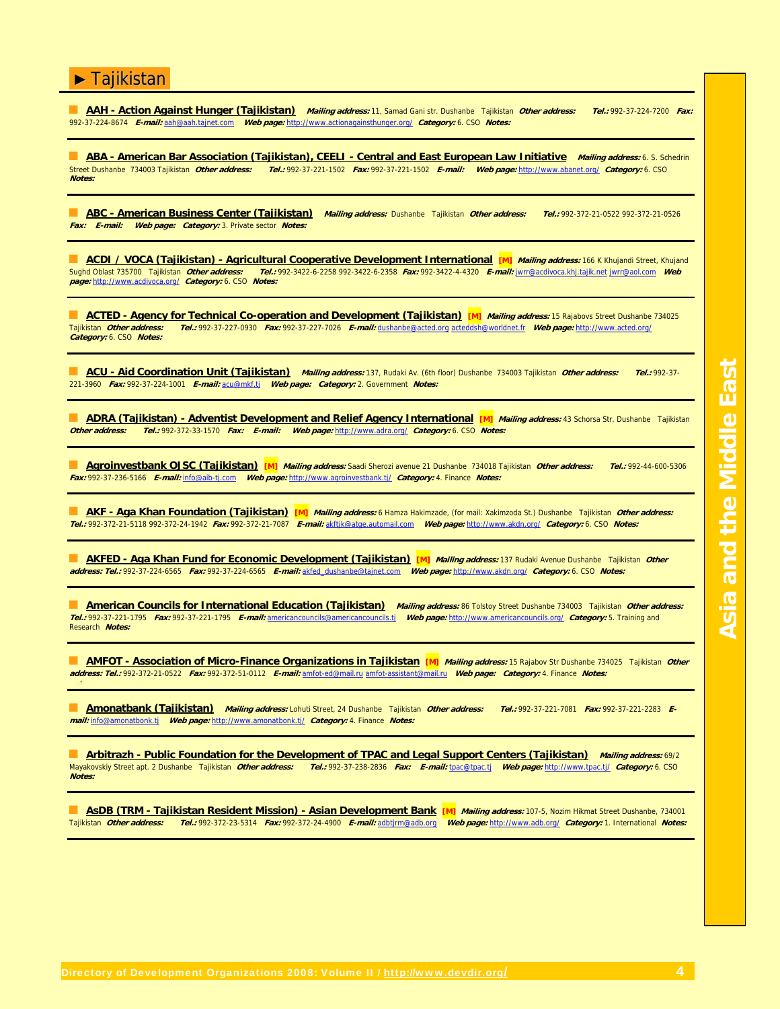■ **AAH - Action Against Hunger (Tajikistan) Mailing address:** 11, Samad Gani str. Dushanbe Tajikistan **Other address: Tel.:** 992-37-224-7200 **Fax:** 992-37-224-8674 **E-mail:** aah@aah.tajnet.com **Web page:** http://www.actionagainsthunger.org/ **Category:** 6. CSO **Notes:**

**ABA - American Bar Association (Tajikistan), CEELI - Central and East European Law Initiative** *Mailing address:* **6. S. Schedrin<br>Street Dushanbe 734003 Tajikistan** *Other address: Tel.: 992-37-22***1-1502** *Fax: 992-37-221-150* Street Dushanbe 734003 Tajikistan **Other address: Tel.:** 992-37-221-1502 **Fax:** 992-37-221-1502 **E-mail: Web page:** http://www.abanet.org/ **Category:** 6. CSO **Notes:**

■ **ABC - American Business Center (Tajikistan) Mailing address:** Dushanbe Tajikistan **Other address: Tel.:** 992-372-21-0522 992-372-21-0526 **Fax: E-mail: Web page: Category:** 3. Private sector **Notes:**

■ **ACDI / VOCA (Tajikistan) - Agricultural Cooperative Development International [M]** *Mailing address:* 166 K Khujandi Street, Khujandi Sughd Oblast 735700 Tajikistan **Other address: Tel.:** 992-3422-6-2258 992-3422-6-2358 **Fax:** 992-3422-4-4320 **E-mail:** jwrr@acdivoca.khj.tajik.net jwrr@aol.com **Web page:** http://www.acdivoca.org/ **Category:** 6. CSO **Notes:**

**ACTED - Agency for Technical Co-operation and Development (Tajikistan)** [M] *Mailing address:* 15 Rajabovs Street Dushanbe 734025<br>Talikistan *Other address: Tel* 1992-37-227-0930 *Fax*: 992-37-227-7026 *Famail:* dushanbe@ Tajikistan **Other address: Tel.:** 992-37-227-0930 **Fax:** 992-37-227-7026 **E-mail:** dushanbe@acted.org acteddsh@worldnet.fr **Web page:** http://www.acted.org/ **Category:** 6. CSO **Notes:**

■ **ACU - Aid Coordination Unit (Tajikistan) Mailing address:** 137, Rudaki Av. (6th floor) Dushanbe 734003 Tajikistan **Other address: Tel.:** 992-37- 221-3960 **Fax:** 992-37-224-1001 **E-mail:** acu@mkf.tj **Web page: Category:** 2. Government **Notes:**

**ADRA (Tajikistan) - Adventist Development and Relief Agency International [M]** *Mailing address:* **43 Schorsa Str. Dushanbe Tajikistan<br>Other address: Tel.: 992-372-33-1570 Fax: E-mail: Web page: http://www.adra.org/ Categor Other address: Tel.:** 992-372-33-1570 **Fax: E-mail: Web page:** http://www.adra.org/ **Category:** 6. CSO **Notes:**

■ **Agroinvestbank OJSC (Tajikistan) [M] Mailing address:** Saadi Sherozi avenue 21 Dushanbe 734018 Tajikistan **Other address: Tel.:** 992-44-600-5306 **Fax:** 992-37-236-5166 **E-mail:** info@aib-tj.com **Web page:** http://www.agroinvestbank.tj/ **Category:** 4. Finance **Notes:**

■ **AKF - Aga Khan Foundation (Tajikistan) [M] Mailing address:** 6 Hamza Hakimzade, (for mail: Xakimzoda St.) Dushanbe Tajikistan **Other address: Tel.:** 992-372-21-5118 992-372-24-1942 **Fax:** 992-372-21-7087 **E-mail:** akftjk@atge.automail.com **Web page:** http://www.akdn.org/ **Category:** 6. CSO **Notes:**

■ **AKFED - Aga Khan Fund for Economic Development (Tajikistan) [M] Mailing address:** 137 Rudaki Avenue Dushanbe Tajikistan **Other address: Tel.:** 992-37-224-6565 **Fax:** 992-37-224-6565 **E-mail:** akfed\_dushanbe@tajnet.com **Web page:** http://www.akdn.org/ **Category:** 6. CSO **Notes:**

■ **American Councils for International Education (Tajikistan) Mailing address:** 86 Tolstoy Street Dushanbe 734003 Tajikistan **Other address: Tel.:** 992-37-221-1795 **Fax:** 992-37-221-1795 **E-mail:** americancouncils@americancouncils.tj **Web page:** http://www.americancouncils.org/ **Category:** 5. Training and Research **Notes:**

**AMFOT - Association of Micro-Finance Organizations in Tajikistan [M]** *Mailing address:* **15 Rajabov Str Dushanbe 734025 Tajikistan** *Other* **address: Tel.:** 992-372-21-0522 **Fax:** 992-372-51-0112 **E-mail:** amfot-ed@mail.ru amfot-assistant@mail.ru **Web page: Category:** 4. Finance **Notes:**

■ **Amonatbank (Tajikistan) Mailing address:** Lohuti Street, 24 Dushanbe Tajikistan **Other address: Tel.:** 992-37-221-7081 **Fax:** 992-37-221-2283 **Email:** info@amonatbonk.tj **Web page:** http://www.amonatbonk.tj/ **Category:** 4. Finance **Notes:**

**Arbitrazh - Public Foundation for the Development of TPAC and Legal Support Centers (Tajikistan)** Mailing address: 69/2<br>Mayakovskiy Street apt. 2 Dushanbe Tajikistan *Other address: Tel.:* 992-37-238-2836 Fax: E-mail: tpa Mayakovskiy Street apt. 2 Dushanbe Tajikistan **Other address: Tel.:** 992-37-238-2836 **Fax: E-mail:** tpac@tpac.tj **Web page:** http://www.tpac.tj/ **Category:** 6. CSO **Notes:**

|                                  | ASDB (TRM - Taiikistan Resident Mission) - Asian Development Bank |  |  |
|----------------------------------|-------------------------------------------------------------------|--|--|
| Taiikistan <i>Other address:</i> |                                                                   |  |  |

**Mailing address:** 107-5, Nozim Hikmat Street Dushanbe, 734001 Tajikistan **Other address: Tel.:** 992-372-23-5314 **Fax:** 992-372-24-4900 **E-mail:** adbtjrm@adb.org **Web page:** http://www.adb.org/ **Category:** 1. International **Notes:**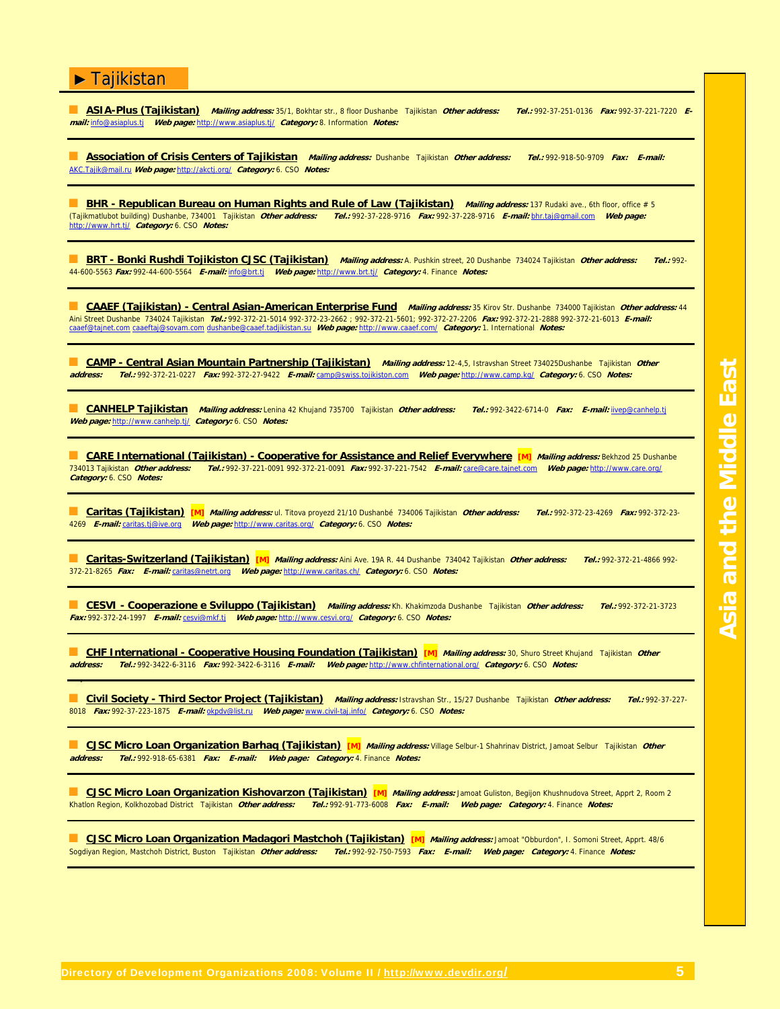■ **ASIA-Plus (Tajikistan) Mailing address:** 35/1, Bokhtar str., 8 floor Dushanbe Tajikistan **Other address: Tel.:** 992-37-251-0136 **Fax:** 992-37-221-7220 **Email:** info@asiaplus.tj **Web page:** http://www.asiaplus.tj/ **Category:** 8. Information **Notes:**

■ **Association of Crisis Centers of Tajikistan Mailing address:** Dushanbe Tajikistan **Other address: Tel.:** 992-918-50-9709 **Fax: E-mail:** AKC.Tajik@mail.ru **Web page:** http://akctj.org/ **Category:** 6. CSO **Notes:**

**BHR - Republican Bureau on Human Rights and Rule of Law (Tajikistan)** Mailing address: 137 Rudaki ave., 6th floor, office # 5 (Tajikmatlubot building) Dushanbe, 734001 Tajikistan **Other address: Tel.:** 992-37-228-9716 **Fax:** 992-37-228-9716 **E-mail:** bhr.taj@gmail.com **Web page:** http://www.hrt.tj/ **Category:** 6. CSO **Notes:**

■ **BRT - Bonki Rushdi Tojikiston CJSC (Tajikistan)** *Mailing address:* A. Pushkin street, 20 Dushanbe 734024 Tajikistan *Other address: Tel.:* 992-44-600-5563 **Fax:** 992-44-600-5564 **E-mail:** info@brt.tj **Web page:** http://www.brt.tj/ **Category:** 4. Finance **Notes:**

■ **CAAEF (Tajikistan) - Central Asian-American Enterprise Fund** *Mailing address:* **35 Kirov Str. Dushanbe 734000 Tajikistan** *Other address***: 44** Aini Street Dushanbe 734024 Tajikistan **Tel.:** 992-372-21-5014 992-372-23-2662 ; 992-372-21-5601; 992-372-27-2206 **Fax:** 992-372-21-2888 992-372-21-6013 **E-mail:** caaef@tajnet.com caaeftaj@sovam.com dushanbe@caaef.tadjikistan.su **Web page:** http://www.caaef.com/ **Category:** 1. International **Notes:**

■ CAMP - Central Asian Mountain Partnership (Tajikistan) Mailing address: 12-4,5, Istravshan Street 734025Dushanbe Tajikistan *Other*<br> **address: Tel.: 992-372-21-0227 Fax: 992-372-27-9422 E-mail:** camp@swiss.tolikiston.co **address: Tel.:** 992-372-21-0227 **Fax:** 992-372-27-9422 **E-mail:** camp@swiss.tojikiston.com **Web page:** http://www.camp.kg/ **Category:** 6. CSO **Notes:**

■ **CANHELP Tajikistan Mailing address:** Lenina 42 Khujand 735700 Tajikistan **Other address: Tel.:** 992-3422-6714-0 **Fax: E-mail:** iivep@canhelp.tj **Web page:** http://www.canhelp.tj/ **Category:** 6. CSO **Notes:**

**CARE International (Tajikistan) - Cooperative for Assistance and Relief Everywhere [M]** *Mailing address:* **Bekhzod 25 Dushanbe** 734013 Tajikistan **Other address: Tel.:** 992-37-221-0091 992-372-21-0091 **Fax:** 992-37-221-7542 **E-mail:** care@care.tajnet.com **Web page:** http://www.care.org/ **Category:** 6. CSO **Notes:**

■ **Caritas (Tajikistan) [M] Mailing address:** ul. Titova proyezd 21/10 Dushanbé 734006 Tajikistan **Other address: Tel.:** 992-372-23-4269 **Fax:** 992-372-23- 4269 **E-mail:** caritas.tj@ive.org **Web page:** http://www.caritas.org/ **Category:** 6. CSO **Notes:**

■ **Caritas-Switzerland (Tajikistan) [M] Mailing address:** Aini Ave. 19A R. 44 Dushanbe 734042 Tajikistan **Other address: Tel.:** 992-372-21-4866 992- 372-21-8265 **Fax: E-mail:** caritas@netrt.org **Web page:** http://www.caritas.ch/ **Category:** 6. CSO **Notes:**

■ **CESVI - Cooperazione e Sviluppo (Tajikistan) Mailing address:** Kh. Khakimzoda Dushanbe Tajikistan **Other address: Tel.:** 992-372-21-3723 **Fax:** 992-372-24-1997 **E-mail:** cesvi@mkf.tj **Web page:** http://www.cesvi.org/ **Category:** 6. CSO **Notes:**

■ CHF International - Cooperative Housing Foundation (Tajikistan) [M] *Mailing address:* 30, Shuro Street Khujand Tajikistan *Other*<br>address: Tel 1992-3422-6-3116, Ear: 992-3422-6-3116, E-mail: Web page: http://www.chfint **address: Tel.:** 992-3422-6-3116 **Fax:** 992-3422-6-3116 **E-mail: Web page:** http://www.chfinternational.org/ **Category:** 6. CSO **Notes:**

■ **Civil Society - Third Sector Project (Tajikistan) Mailing address:** Istravshan Str., 15/27 Dushanbe Tajikistan **Other address: Tel.:** 992-37-227- 8018 **Fax:** 992-37-223-1875 **E-mail:** okpdv@list.ru **Web page:** www.civil-taj.info/ **Category:** 6. CSO **Notes:**

■ **CJSC Micro Loan Organization Barhaq (Tajikistan) [M] Mailing address:** Village Selbur-1 Shahrinav District, Jamoat Selbur Tajikistan **Other address: Tel.:** 992-918-65-6381 **Fax: E-mail: Web page: Category:** 4. Finance **Notes:**

■ **CJSC Micro Loan Organization Kishovarzon (Tajikistan) [M] Mailing address:** Jamoat Guliston, Begijon Khushnudova Street, Apprt 2, Room 2 Khatlon Region, Kolkhozobad District Tajikistan **Other address: Tel.:** 992-91-773-6008 **Fax: E-mail: Web page: Category:** 4. Finance **Notes:**

■ **CJSC Micro Loan Organization Madagori Mastchoh (Tajikistan) [M] Mailing address:** Jamoat "Obburdon", I. Somoni Street, Apprt. 48/6 Sogdiyan Region, Mastchoh District, Buston Tajikistan **Other address: Tel.:** 992-92-750-7593 **Fax: E-mail: Web page: Category:** 4. Finance **Notes:**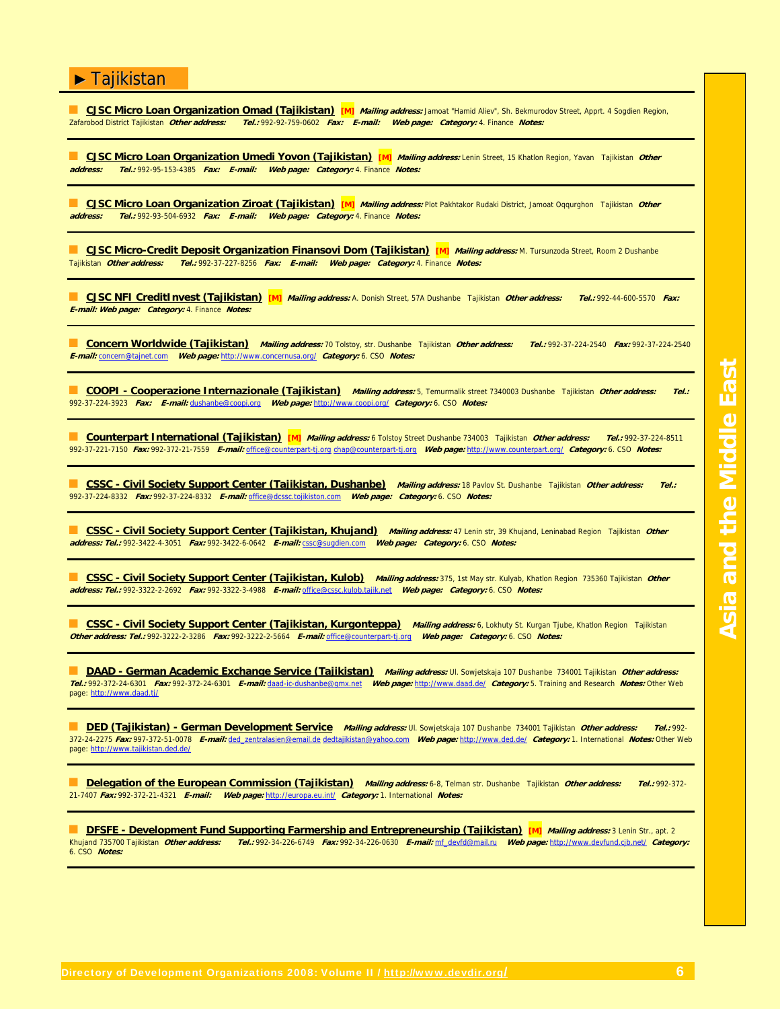■ **CJSC Micro Loan Organization Omad (Tajikistan) [M] Mailing address:** Jamoat "Hamid Aliev", Sh. Bekmurodov Street, Apprt. 4 Sogdien Region, Zafarobod District Tajikistan **Other address: Tel.:** 992-92-759-0602 **Fax: E-mail: Web page: Category:** 4. Finance **Notes:**

■ **CJSC Micro Loan Organization Umedi Yovon (Tajikistan) [M] Mailing address:** Lenin Street, 15 Khatlon Region, Yavan Tajikistan **Other address: Tel.:** 992-95-153-4385 **Fax: E-mail: Web page: Category:** 4. Finance **Notes:**

■ **CJSC Micro Loan Organization Ziroat (Tajikistan) [M] Mailing address:** Plot Pakhtakor Rudaki District, Jamoat Oqqurghon Tajikistan **Other address: Tel.:** 992-93-504-6932 **Fax: E-mail: Web page: Category:** 4. Finance **Notes:**

■ **CJSC Micro-Credit Deposit Organization Finansovi Dom (Tajikistan) [M] Mailing address:** M. Tursunzoda Street, Room 2 Dushanbe Tajikistan **Other address: Tel.:** 992-37-227-8256 **Fax: E-mail: Web page: Category:** 4. Finance **Notes:**

■ **CJSC NFI CreditInvest (Tajikistan) [M] Mailing address:** A. Donish Street, 57A Dushanbe Tajikistan **Other address: Tel.:** 992-44-600-5570 **Fax: E-mail: Web page: Category:** 4. Finance **Notes:**

■ **Concern Worldwide (Tajikistan) Mailing address:** 70 Tolstoy, str. Dushanbe Tajikistan **Other address: Tel.:** 992-37-224-2540 **Fax:** 992-37-224-2540 **E-mail:** concern@tajnet.com **Web page:** http://www.concernusa.org/ **Category:** 6. CSO **Notes:**

■ **COOPI - Cooperazione Internazionale (Tajikistan) Mailing address:** 5, Temurmalik street 7340003 Dushanbe Tajikistan **Other address: Tel.:** 992-37-224-3923 **Fax: E-mail:** dushanbe@coopi.org **Web page:** http://www.coopi.org/ **Category:** 6. CSO **Notes:**

■ **Counterpart International (Tajikistan) [M] Mailing address:** 6 Tolstoy Street Dushanbe 734003 Tajikistan **Other address: Tel.:** 992-37-224-8511 992-37-221-7150 **Fax:** 992-372-21-7559 **E-mail:** office@counterpart-tj.org chap@counterpart-tj.org **Web page:** http://www.counterpart.org/ **Category:** 6. CSO **Notes:**

■ **CSSC - Civil Society Support Center (Tajikistan, Dushanbe) Mailing address:** 18 Pavlov St. Dushanbe Tajikistan **Other address: Tel.:** 992-37-224-8332 **Fax:** 992-37-224-8332 **E-mail:** office@dcssc.tojikiston.com **Web page: Category:** 6. CSO **Notes:**

■ **CSSC - Civil Society Support Center (Tajikistan, Khujand) Mailing address:** 47 Lenin str, 39 Khujand, Leninabad Region Tajikistan **Other address: Tel.:** 992-3422-4-3051 **Fax:** 992-3422-6-0642 **E-mail:** cssc@sugdien.com **Web page: Category:** 6. CSO **Notes:**

CSSC - Civil Society Support Center (Tajikistan, Kulob) Mailing address: 375, 1st May str. Kulyab, Khatlon Region 735360 Tajikistan Other<br>address: Tel.: 992-3322-2-2692 Fax: 992-3322-3-4988 F-mail: office@cssc.kulob.tajik.

■ **CSSC - Civil Society Support Center (Tajikistan, Kurgonteppa) Mailing address:** 6, Lokhuty St. Kurgan Tjube, Khatlon Region Tajikistan **Other address: Tel.:** 992-3222-2-3286 **Fax:** 992-3222-2-5664 **E-mail:** office@counterpart-tj.org **Web page: Category:** 6. CSO **Notes:**

■ **DAAD - German Academic Exchange Service (Tajikistan) Mailing address:** Ul. Sowjetskaja 107 Dushanbe 734001 Tajikistan **Other address: Tel.:** 992-372-24-6301 **Fax:** 992-372-24-6301 **E-mail:** daad-ic-dushanbe@gmx.net **Web page:** http://www.daad.de/ **Category:** 5. Training and Research **Notes:** Other Web page: http://www.daad.tj/

■ **DED (Tajikistan) - German Development Service Mailing address:** Ul. Sowjetskaja 107 Dushanbe 734001 Tajikistan **Other address: Tel.:** 992- 372-24-2275 **Fax:** 997-372-51-0078 **E-mail:** ded\_zentralasien@email.de dedtajikistan@yahoo.com **Web page:** http://www.ded.de/ **Category:** 1. International **Notes:** Other Web page: http://www.tajikistan.ded.de/

■ **Delegation of the European Commission (Tajikistan) Mailing address:** 6-8, Telman str. Dushanbe Tajikistan **Other address: Tel.:** 992-372- 21-7407 **Fax:** 992-372-21-4321 **E-mail: Web page:** http://europa.eu.int/ **Category:** 1. International **Notes:**

**DESFE - Development Fund Supporting Farmership and Entrepreneurship (Tajikistan) [M]** *Mailing address:* **3 Lenin Str., apt. 2<br>Khujand 735700 Tajikistan** *Other address: Tel.:* **992-34-226-6749 Fax: 992-34-226-0630 E-mail: mf** Khujand 735700 Tajikistan **Other address: Tel.:** 992-34-226-6749 **Fax:** 992-34-226-0630 **E-mail:** mf\_devfd@mail.ru **Web page:** http://www.devfund.cjb.net/ **Category:** 6. CSO **Notes:**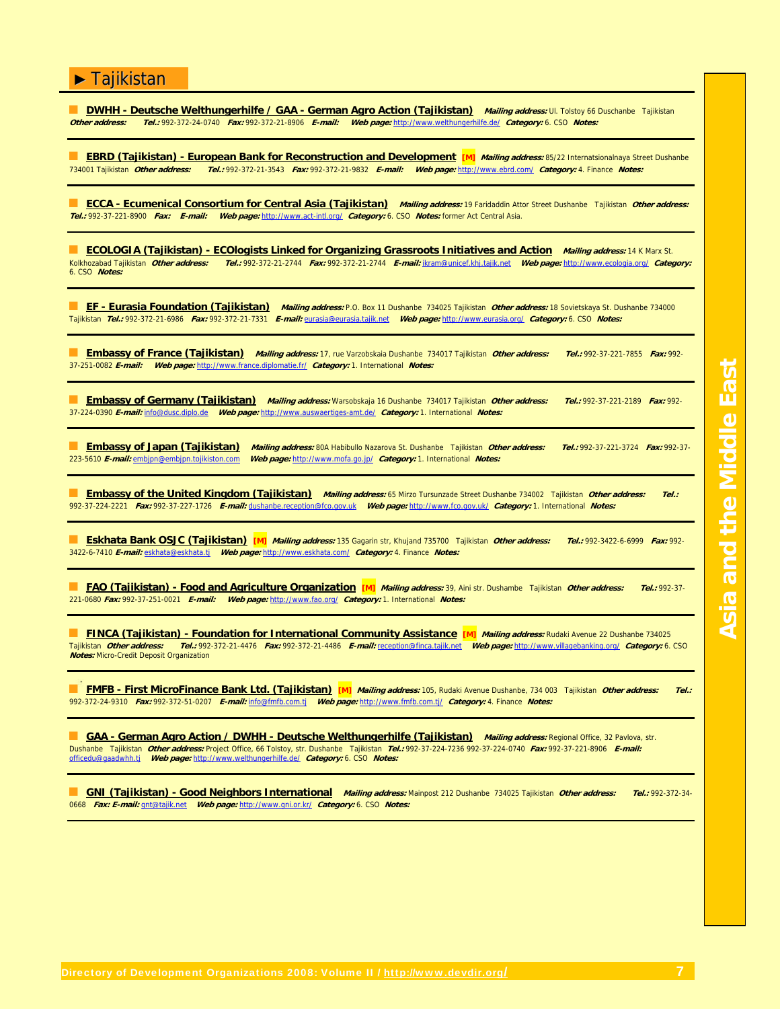**DWHH - Deutsche Welthungerhilfe / GAA - German Agro Action (Tajikistan)** Mailing address: Ul. Tolstoy 66 Duschanbe Tajikistan<br>Other address: Tel.: 992-372-24-0740 Fax: 992-372-21-8906 E-mail: Web page: http://www.welthung **Other address: Tel.:** 992-372-24-0740 **Fax:** 992-372-21-8906 **E-mail: Web page:** http://www.welthungerhilfe.de/ **Category:** 6. CSO **Notes:**

**EBRD (Tajikistan) - European Bank for Reconstruction and Development [M]** *Mailing address:* **85/22 Internatsionalnaya Street Dushanbe<br>734001 Tajikistan** *Other address: Tel.:* **992-372-21-3543** *Fax: 992-372-21-9832 E-mail: W* 734001 Tajikistan **Other address: Tel.:** 992-372-21-3543 **Fax:** 992-372-21-9832 **E-mail: Web page:** http://www.ebrd.com/ **Category:** 4. Finance **Notes:**

■ **ECCA - Ecumenical Consortium for Central Asia (Tajikistan) Mailing address:** 19 Faridaddin Attor Street Dushanbe Tajikistan **Other address: Tel.:** 992-37-221-8900 **Fax: E-mail: Web page:** http://www.act-intl.org/ **Category:** 6. CSO **Notes:** former Act Central Asia.

■ **ECOLOGIA (Tajikistan) - ECOlogists Linked for Organizing Grassroots Initiatives and Action Mailing address:** 14 K Marx St. Kolkhozabad Tajikistan **Other address: Tel.:** 992-372-21-2744 **Fax:** 992-372-21-2744 **E-mail:** ikram@unicef.khj.tajik.net **Web page:** http://www.ecologia.org/ **Category:** 6. CSO **Notes:**

■ **EF - Eurasia Foundation (Tajikistan)** *Mailing address:* P.O. Box 11 Dushanbe 734025 Tajikistan *Other address:* 18 Sovietskaya St. Dushanbe 734000 Tajikistan **Tel.:** 992-372-21-6986 **Fax:** 992-372-21-7331 **E-mail:** eurasia@eurasia.tajik.net **Web page:** http://www.eurasia.org/ **Category:** 6. CSO **Notes:**

■ **Embassy of France (Tajikistan) Mailing address:** 17, rue Varzobskaia Dushanbe 734017 Tajikistan **Other address: Tel.:** 992-37-221-7855 **Fax:** 992- 37-251-0082 **E-mail: Web page:** http://www.france.diplomatie.fr/ **Category:** 1. International **Notes:**

■ **Embassy of Germany (Tajikistan) Mailing address:** Warsobskaja 16 Dushanbe 734017 Tajikistan **Other address: Tel.:** 992-37-221-2189 **Fax:** 992- 37-224-0390 **E-mail:** info@dusc.diplo.de **Web page:** http://www.auswaertiges-amt.de/ **Category:** 1. International **Notes:**

■ **Embassy of Japan (Tajikistan) Mailing address:** 80A Habibullo Nazarova St. Dushanbe Tajikistan **Other address: Tel.:** 992-37-221-3724 **Fax:** 992-37- 223-5610 **E-mail:** embjpn@embjpn.tojikiston.com **Web page:** http://www.mofa.go.jp/ **Category:** 1. International **Notes:**

**Embassy of the United Kingdom (Tajikistan)** Mailing address: 65 Mirzo Tursunzade Street Dushanbe 734002 Tajikistan Other address: Tel.: 992-37-224-2221 **Fax:** 992-37-227-1726 **E-mail:** dushanbe.reception@fco.gov.uk **Web page:** http://www.fco.gov.uk/ **Category:** 1. International **Notes:**

■ **Eskhata Bank OSJC (Tajikistan) [M] Mailing address:** 135 Gagarin str, Khujand 735700 Tajikistan **Other address: Tel.:** 992-3422-6-6999 **Fax:** 992- 3422-6-7410 **E-mail:** eskhata@eskhata.tj **Web page:** http://www.eskhata.com/ **Category:** 4. Finance **Notes:**

■ **FAO (Tajikistan) - Food and Agriculture Organization [M] Mailing address:** 39, Aini str. Dushambe Tajikistan **Other address: Tel.:** 992-37- 221-0680 **Fax:** 992-37-251-0021 **E-mail: Web page:** http://www.fao.org/ **Category:** 1. International **Notes:**

■ **FINCA (Tajikistan) - Foundation for International Community Assistance [M]** *Mailing address:* **Rudaki Avenue 22 Dushanbe 734025<br>Tajikistan** *Other address: Tel.:* **992-372-21-4476** *Fax:* **992-372-21-4486** *E-mail:* **receptio** Tajikistan **Other address: Tel.:** 992-372-21-4476 **Fax:** 992-372-21-4486 **E-mail:** reception@finca.tajik.net **Web page:** http://www.villagebanking.org/ **Category:** 6. CSO **Notes:** Micro-Credit Deposit Organization

■ **FMFB - First MicroFinance Bank Ltd. (Tajikistan) [M] Mailing address:** 105, Rudaki Avenue Dushanbe, 734 003 Tajikistan **Other address: Tel.:** 992-372-24-9310 **Fax:** 992-372-51-0207 **E-mail:** info@fmfb.com.tj **Web page:** http://www.fmfb.com.tj/ **Category:** 4. Finance **Notes:**

■ **GAA - German Agro Action / DWHH - Deutsche Welthungerhilfe (Tajikistan)** Mailing address: Regional Office, 32 Pavlova, str. Dushanbe Tajikistan **Other address:** Project Office, 66 Tolstoy, str. Dushanbe Tajikistan **Tel.:** 992-37-224-7236 992-37-224-0740 **Fax:** 992-37-221-8906 **E-mail:** officedu@gaadwhh.tj **Web page:** http://www.welthungerhilfe.de/ **Category:** 6. CSO **Notes:**

■ **GNI (Tajikistan) - Good Neighbors International Mailing address:** Mainpost 212 Dushanbe 734025 Tajikistan **Other address: Tel.:** 992-372-34- 0668 **Fax: E-mail:** gnt@tajik.net **Web page:** http://www.gni.or.kr/ **Category:** 6. CSO **Notes:**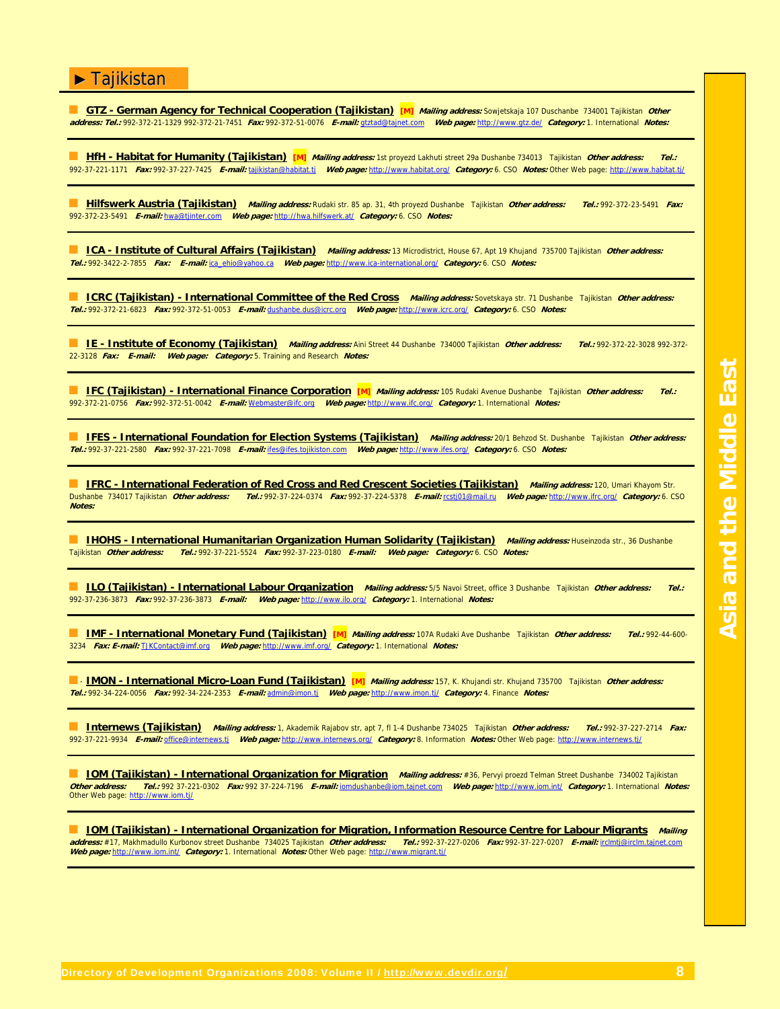■ GTZ - German Agency for Technical Cooperation (Tajikistan) [M] *Mailing address:* Sowjetskaja 107 Duschanbe 734001 Tajikistan *Other* **address: Tel.:** 992-372-21-1329 992-372-21-7451 **Fax:** 992-372-51-0076 **E-mail:** gtztad@tajnet.com **Web page:** http://www.gtz.de/ **Category:** 1. International **Notes:**

■ **HfH - Habitat for Humanity (Tajikistan)** [M] *Mailing address:* 1st proyezd Lakhuti street 29a Dushanbe 734013 Tajikistan *Other address:* 992-37-221-1171 **Fax:** 992-37-227-7425 **E-mail:** tajikistan@habitat.tj **Web page:** http://www.habitat.org/ **Category:** 6. CSO **Notes:** Other Web page: http://www.habitat.tj/

■ **Hilfswerk Austria (Tajikistan) Mailing address:** Rudaki str. 85 ap. 31, 4th proyezd Dushanbe Tajikistan **Other address: Tel.:** 992-372-23-5491 **Fax:** 992-372-23-5491 **E-mail:** hwa@tjinter.com **Web page:** http://hwa.hilfswerk.at/ **Category:** 6. CSO **Notes:**

■ **ICA - Institute of Cultural Affairs (Tajikistan) Mailing address:** 13 Microdistrict, House 67, Apt 19 Khujand 735700 Tajikistan **Other address: Tel.:** 992-3422-2-7855 **Fax: E-mail:** ica\_ehio@yahoo.ca **Web page:** http://www.ica-international.org/ **Category:** 6. CSO **Notes:**

■ **ICRC (Tajikistan) - International Committee of the Red Cross Mailing address:** Sovetskaya str. 71 Dushanbe Tajikistan **Other address: Tel.:** 992-372-21-6823 **Fax:** 992-372-51-0053 **E-mail:** dushanbe.dus@icrc.org **Web page:** http://www.icrc.org/ **Category:** 6. CSO **Notes:**

■ **IE - Institute of Economy (Tajikistan) Mailing address:** Aini Street 44 Dushanbe 734000 Tajikistan **Other address: Tel.:** 992-372-22-3028 992-372- 22-3128 **Fax: E-mail: Web page: Category:** 5. Training and Research **Notes:**

■ **IFC (Tajikistan) - International Finance Corporation [M] Mailing address:** 105 Rudaki Avenue Dushanbe Tajikistan **Other address: Tel.:** 992-372-21-0756 **Fax:** 992-372-51-0042 **E-mail:** Webmaster@ifc.org **Web page:** http://www.ifc.org/ **Category:** 1. International **Notes:**

**IFES - International Foundation for Election Systems (Tajikistan)** Mailing address: 20/1 Behzod St. Dushanbe Tajikistan Other address: **Tel.:** 992-37-221-2580 **Fax:** 992-37-221-7098 **E-mail:** ifes@ifes.tojikiston.com **Web page:** http://www.ifes.org/ **Category:** 6. CSO **Notes:**

■ **IFRC - International Federation of Red Cross and Red Crescent Societies (Tajikistan) Mailing address:** 120, Umari Khayom Str. Dushanbe 734017 Tajikistan **Other address: Tel.:** 992-37-224-0374 **Fax:** 992-37-224-5378 **E-mail:** rcstj01@mail.ru **Web page:** http://www.ifrc.org/ **Category:** 6. CSO **Notes:**

**■ IHOHS - International Humanitarian Organization Human Solidarity (Tajikistan)** *Mailing address:* **Huseinzoda str., 36 Dushanbe<br>Tajikistan** *Other address: Tel.:* **992-37-221-5524** *Fax:* **992-37-223-0180** *E-mail: Web page: C* Tajikistan **Other address: Tel.:** 992-37-221-5524 **Fax:** 992-37-223-0180 **E-mail: Web page: Category:** 6. CSO **Notes:**

■ **ILO (Tajikistan) - International Labour Organization Mailing address:** 5/5 Navoi Street, office 3 Dushanbe Tajikistan **Other address: Tel.:** 992-37-236-3873 **Fax:** 992-37-236-3873 **E-mail: Web page:** http://www.ilo.org/ **Category:** 1. International **Notes:**

■ **IMF - International Monetary Fund (Tajikistan) [M] Mailing address:** 107A Rudaki Ave Dushanbe Tajikistan **Other address: Tel.:** 992-44-600- 3234 **Fax: E-mail:** TJKContact@imf.org **Web page:** http://www.imf.org/ **Category:** 1. International **Notes:**

■ **IMON - International Micro-Loan Fund (Tajikistan)** [M] *Mailing address:* 157, K. Khujandi str. Khujand 735700 Tajikistan *Other address:* **Tel.:** 992-34-224-0056 **Fax:** 992-34-224-2353 **E-mail:** admin@imon.tj **Web page:** http://www.imon.tj/ **Category:** 4. Finance **Notes:**

■ **Internews (Tajikistan) Mailing address:** 1, Akademik Rajabov str, apt 7, fl 1-4 Dushanbe 734025 Tajikistan **Other address: Tel.:** 992-37-227-2714 **Fax:** 992-37-221-9934 **E-mail:** office@internews.tj **Web page:** http://www.internews.org/ **Category:** 8. Information **Notes:** Other Web page: http://www.internews.tj/

■ **IOM (Tajikistan) - International Organization for Migration Mailing address:** #36, Pervyi proezd Telman Street Dushanbe 734002 Tajikistan **Other address: Tel.:** 992 37-221-0302 **Fax:** 992 37-224-7196 **E-mail:** iomdushanbe@iom.tajnet.com **Web page:** http://www.iom.int/ **Category:** 1. International **Notes:** Other Web page: http://www.iom.tj/

■ **IOM (Tajikistan) - International Organization for Migration, Information Resource Centre for Labour Migrants Mailing address:** #17, Makhmadullo Kurbonov street Dushanbe 734025 Tajikistan **Other address: Web page:** http://www.iom.int/ **Category:** 1. International **Notes:** Other Web page: http://www.migrant.tj/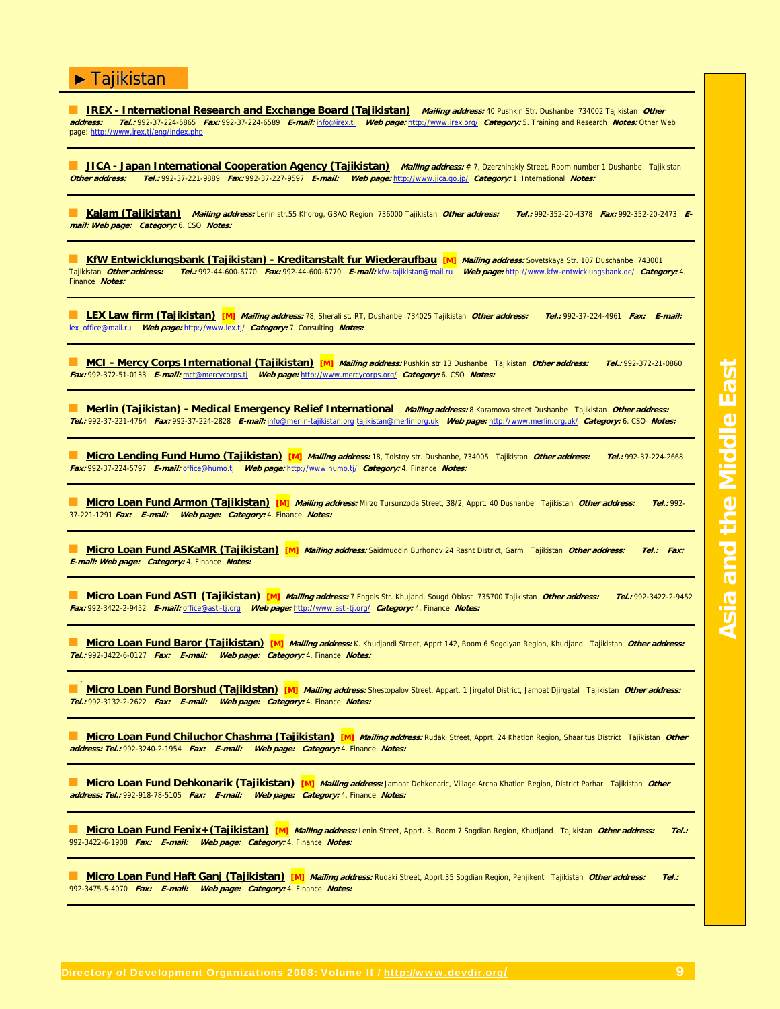■ <u>IREX - International Research and Exchange Board (Tajikistan)</u> *Mailing address:* 40 Pushkin Str. Dushanbe 734002 Tajikistan *Other*<br>address: Tel.: 992-37-224-5865 Fax: 992-37-224-6589 F-mail: info@irex.ti Web page: ht **address: Tel.:** 992-37-224-5865 **Fax:** 992-37-224-6589 **E-mail:** info@irex.tj **Web page:** http://www.irex.org/ **Category:** 5. Training and Research **Notes:** Other Web page: http://www.irex.tj/eng/index.php

**JICA - Japan International Cooperation Agency (Tajikistan)** Mailing address: # 7, Dzerzhinskiy Street, Room number 1 Dushanbe Tajikistan **Other address: Tel.:** 992-37-221-9889 **Fax:** 992-37-227-9597 **E-mail: Web page:** http://www.jica.go.jp/ **Category:** 1. International **Notes:**

■ **Kalam (Tajikistan) Mailing address:** Lenin str.55 Khorog, GBAO Region 736000 Tajikistan **Other address: Tel.:** 992-352-20-4378 **Fax:** 992-352-20-2473 **Email: Web page: Category:** 6. CSO **Notes:**

**■ KfW Entwicklungsbank (Tajikistan) - Kreditanstalt fur Wiederaufbau [M]** Mailing address: Sovetskaya Str. 107 Duschanbe 743001 Tajikistan **Other address: Tel.:** 992-44-600-6770 **Fax:** 992-44-600-6770 **E-mail:** kfw-tajikistan@mail.ru **Web page:** http://www.kfw-entwicklungsbank.de/ **Category:** 4. Finance **Notes:**

■ **LEX Law firm (Tajikistan) [M] Mailing address:** 78, Sherali st. RT, Dushanbe 734025 Tajikistan **Other address: Tel.:** 992-37-224-4961 **Fax: E-mail:** lex\_office@mail.ru **Web page:** http://www.lex.tj/ **Category:** 7. Consulting **Notes:**

■ **MCI - Mercy Corps International (Tajikistan)** [M] *Mailing address:* Pushkin str 13 Dushanbe Tajikistan *Other address:* Tel.: 992-372-21-0860 **Fax:** 992-372-51-0133 **E-mail:** mct@mercycorps.tj **Web page:** http://www.mercycorps.org/ **Category:** 6. CSO **Notes:**

■ **Merlin (Tajikistan) - Medical Emergency Relief International Mailing address:** 8 Karamova street Dushanbe Tajikistan **Other address: Tel.:** 992-37-221-4764 **Fax:** 992-37-224-2828 **E-mail:** info@merlin-tajikistan.org tajikistan@merlin.org.uk **Web page:** http://www.merlin.org.uk/ **Category:** 6. CSO **Notes:**

■ **Micro Lending Fund Humo (Tajikistan) [M] Mailing address:** 18, Tolstoy str. Dushanbe, 734005 Tajikistan **Other address: Tel.:** 992-37-224-2668 **Fax:** 992-37-224-5797 **E-mail:** office@humo.tj **Web page:** http://www.humo.tj/ **Category:** 4. Finance **Notes:**

■ **Micro Loan Fund Armon (Tajikistan)** [M] *Mailing address:* Mirzo Tursunzoda Street, 38/2, Apprt. 40 Dushanbe Tajikistan *Other address: Tel.:* 992-37-221-1291 **Fax: E-mail: Web page: Category:** 4. Finance **Notes:**

■ **Micro Loan Fund ASKaMR (Tajikistan) [M] Mailing address:** Saidmuddin Burhonov 24 Rasht District, Garm Tajikistan **Other address: Tel.: Fax: E-mail: Web page: Category:** 4. Finance **Notes:**

■ **Micro Loan Fund ASTI (Tajikistan) [M] Mailing address:** 7 Engels Str. Khujand, Sougd Oblast 735700 Tajikistan **Other address: Tel.:** 992-3422-2-9452 **Fax:** 992-3422-2-9452 **E-mail:** office@asti-tj.org **Web page:** http://www.asti-tj.org/ **Category:** 4. Finance **Notes:**

■ **Micro Loan Fund Baror (Tajikistan) [M] Mailing address:** K. Khudjandi Street, Apprt 142, Room 6 Sogdiyan Region, Khudjand Tajikistan **Other address: Tel.:** 992-3422-6-0127 **Fax: E-mail: Web page: Category:** 4. Finance **Notes:**

■ **Micro Loan Fund Borshud (Tajikistan)** [M] *Mailing address:* Shestopalov Street, Appart. 1 Jirgatol District, Jamoat Djirgatal Tajikistan *Other address:* **Tel.:** 992-3132-2-2622 **Fax: E-mail: Web page: Category:** 4. Finance **Notes:**

■ **Micro Loan Fund Chiluchor Chashma (Tajikistan) [M] Mailing address:** Rudaki Street, Apprt. 24 Khatlon Region, Shaaritus District Tajikistan **Other address: Tel.:** 992-3240-2-1954 **Fax: E-mail: Web page: Category:** 4. Finance **Notes:**

■ **Micro Loan Fund Dehkonarik (Tajikistan) [M] Mailing address:** Jamoat Dehkonaric, Village Archa Khatlon Region, District Parhar Tajikistan **Other address: Tel.:** 992-918-78-5105 **Fax: E-mail: Web page: Category:** 4. Finance **Notes:**

■ **Micro Loan Fund Fenix+(Tajikistan) [M] Mailing address:** Lenin Street, Apprt. 3, Room 7 Sogdian Region, Khudjand Tajikistan **Other address: Tel.:** 992-3422-6-1908 **Fax: E-mail: Web page: Category:** 4. Finance **Notes:**

■ **Micro Loan Fund Haft Ganj (Tajikistan) [M] Mailing address:** Rudaki Street, Apprt.35 Sogdian Region, Penjikent Tajikistan **Other address: Tel.:** 992-3475-5-4070 **Fax: E-mail: Web page: Category:** 4. Finance **Notes:**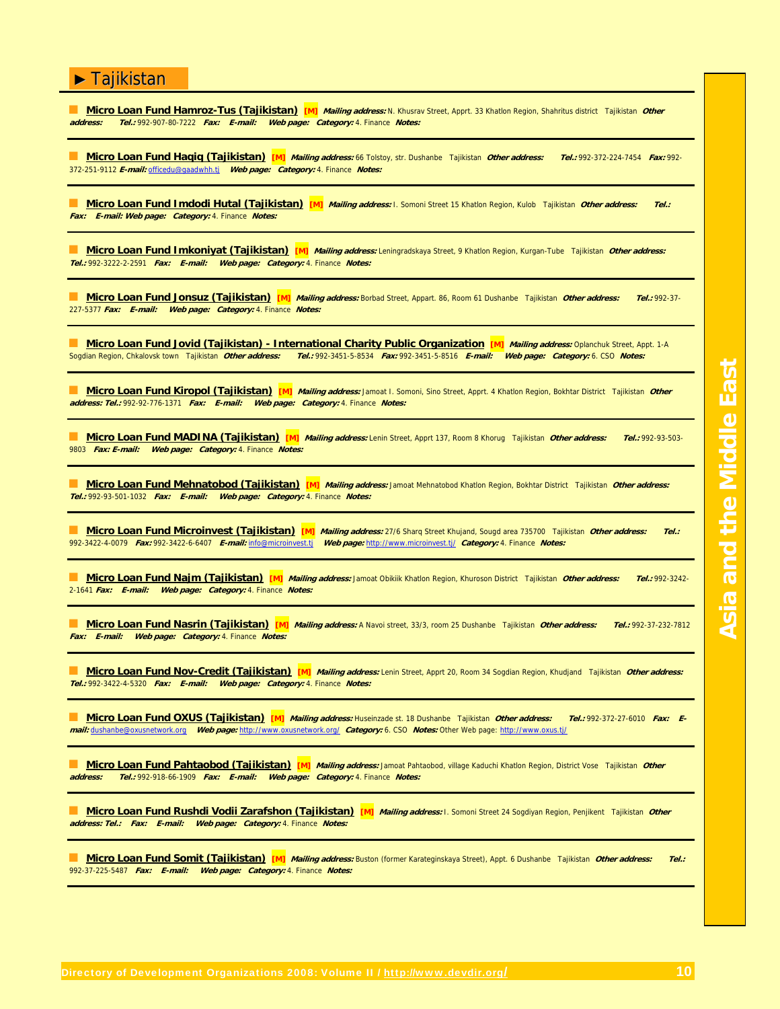| Micro Loan Fund Hamroz-Tus (Tajikistan) [M] Mailing address: N. Khusrav Street, Apprt. 33 Khatlon Region, Shahritus district Tajikistan Other<br>Tel.: 992-907-80-7222 Fax: E-mail: Web page: Category: 4. Finance Notes:<br>address:                                                                |  |  |  |
|------------------------------------------------------------------------------------------------------------------------------------------------------------------------------------------------------------------------------------------------------------------------------------------------------|--|--|--|
| Micro Loan Fund Haqiq (Tajikistan) [M] Mailing address: 66 Tolstoy, str. Dushanbe Tajikistan Other address:<br>Tel.: 992-372-224-7454 Fax: 992-<br>372-251-9112 E-mail: officedu@gaadwhh.tj     Web page: Category: 4. Finance Notes:                                                                |  |  |  |
| Micro Loan Fund Imdodi Hutal (Tajikistan) [M] Mailing address: I. Somoni Street 15 Khatlon Region, Kulob Tajikistan Other address:<br>Tel.:<br>Fax: E-mail: Web page: Category: 4. Finance Notes:                                                                                                    |  |  |  |
| Micro Loan Fund Imkoniyat (Tajikistan) [M] Mailing address: Leningradskaya Street, 9 Khatlon Region, Kurgan-Tube Tajikistan Other address:<br>Tel.: 992-3222-2-2591 Fax: E-mail: Web page: Category: 4. Finance Notes:                                                                               |  |  |  |
| Micro Loan Fund Jonsuz (Tajikistan) [M] Mailing address: Borbad Street, Appart. 86, Room 61 Dushanbe Tajikistan Other address:<br>$Tel.: 992-37-$<br>227-5377 Fax: E-mail: Web page: Category: 4. Finance Notes:                                                                                     |  |  |  |
| Micro Loan Fund Jovid (Tajikistan) - International Charity Public Organization [M] Mailing address: Oplanchuk Street, Appt. 1-A<br>Sogdian Region, Chkalovsk town Tajikistan Other address:<br>Tel.: 992-3451-5-8534 Fax: 992-3451-5-8516 E-mail: Web page: Category: 6. CSO Notes:                  |  |  |  |
| Micro Loan Fund Kiropol (Tajikistan) [M] Mailing address: Jamoat I. Somoni, Sino Street, Apprt. 4 Khatlon Region, Bokhtar District Tajikistan Other<br>address: Tel.: 992-92-776-1371 Fax: E-mail: Web page: Category: 4. Finance Notes:                                                             |  |  |  |
| Micro Loan Fund MADINA (Tajikistan) [M] Mailing address: Lenin Street, Apprt 137, Room 8 Khorug Tajikistan Other address:<br>$Tel.: 992-93-503-$<br>9803 Fax: E-mail:<br>Web page: Category: 4. Finance Notes:                                                                                       |  |  |  |
| Micro Loan Fund Mehnatobod (Tajikistan) [M] Mailing address: Jamoat Mehnatobod Khatlon Region, Bokhtar District Tajikistan Other address:<br>Tel.: 992-93-501-1032 Fax: E-mail:<br>Web page: Category: 4. Finance Notes:                                                                             |  |  |  |
| <b>Micro Loan Fund Microinvest (Tajikistan)</b> [M]<br>Mailing address: 27/6 Sharq Street Khujand, Sougd area 735700 Tajikistan Other address:<br>Tel.<br>992-3422-4-0079    Fax: 992-3422-6-6407    E-mail: info@microinvest.ti<br>Web page: http://www.microinvest.tj/ Category: 4. Finance Notes: |  |  |  |
| Micro Loan Fund Najm (Tajikistan) [M] Mailing address: Jamoat Obiklik Khatlon Region, Khuroson District Tajikistan Other address:<br>$Tel.: 992-3242-$<br>2-1641 Fax: E-mail: Web page: Category: 4. Finance Notes:                                                                                  |  |  |  |
| Micro Loan Fund Nasrin (Tajikistan) [M] Mailing address: A Navoi street, 33/3, room 25 Dushanbe Tajikistan Other address:<br>Tel.: 992-37-232-7812<br>Web page: Category: 4. Finance Notes:<br>Fax: E-mail:                                                                                          |  |  |  |
| Micro Loan Fund Nov-Credit (Tajikistan) [M] Mailing address: Lenin Street, Apprt 20, Room 34 Sogdian Region, Khudjand Tajikistan Other address:<br>Tel.: 992-3422-4-5320 Fax: E-mail: Web page: Category: 4. Finance Notes:                                                                          |  |  |  |
| Micro Loan Fund OXUS (Tajikistan) [M] Mailing address: Huseinzade st. 18 Dushanbe Tajikistan Other address:<br>Tel.: 992-372-27-6010 Fax: E-<br>mail: dushanbe@oxusnetwork.org Web page: http://www.oxusnetwork.org/ Category: 6. CSO Notes: Other Web page: http://www.oxus.tj/                     |  |  |  |
| <b>Micro Loan Fund Pahtaobod (Tajikistan) [M] <i>Mailing address:</i> Jamoat Pahtaobod, village Kaduchi Khatlon Region, District Vose Tajikistan <i>Other</i></b><br>Tel.: 992-918-66-1909 Fax: E-mail: Web page: Category: 4. Finance Notes:<br>address:                                            |  |  |  |
| Micro Loan Fund Rushdi Vodii Zarafshon (Tajikistan) [M] Mailing address: I. Somoni Street 24 Sogdiyan Region, Penjikent Tajikistan Other<br>address: Tel.: Fax: E-mail: Web page: Category: 4. Finance Notes:                                                                                        |  |  |  |
| Micro Loan Fund Somit (Tajikistan) [M] Mailing address: Buston (former Karateginskaya Street), Appt. 6 Dushanbe Tajikistan Other address:<br>Tel.<br>992-37-225-5487 Fax: E-mail:<br>Web page: Category: 4. Finance Notes:                                                                           |  |  |  |
|                                                                                                                                                                                                                                                                                                      |  |  |  |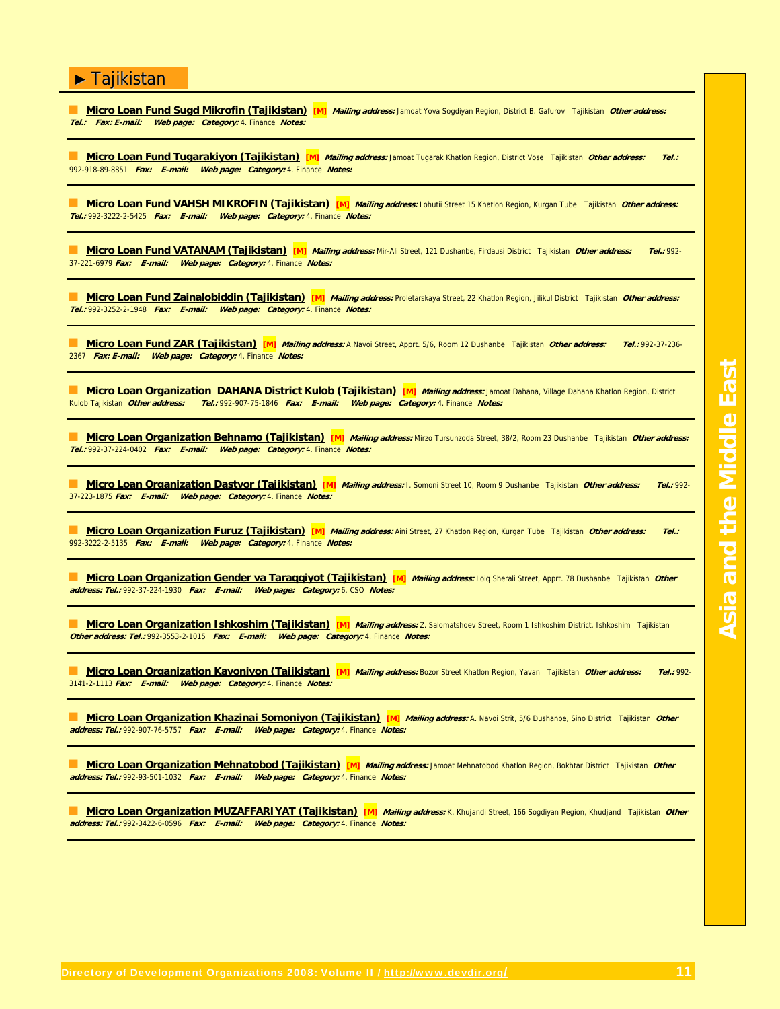| <b>Micro Loan Fund Sugd Mikrofin (Tajikistan)</b> [M] Mailing address: Jamoat Yova Sogdiyan Region, District B. Gafurov Tajikistan Other address:<br>Tel.: Fax: E-mail:<br>Web page: Category: 4. Finance Notes:                                         |  |  |  |
|----------------------------------------------------------------------------------------------------------------------------------------------------------------------------------------------------------------------------------------------------------|--|--|--|
| Micro Loan Fund Tugarakiyon (Tajikistan) [M] Mailing address: Jamoat Tugarak Khatlon Region, District Vose Tajikistan Other address:<br>Tel.:<br>992-918-89-8851 Fax: E-mail:<br>Web page: Category: 4. Finance Notes:                                   |  |  |  |
| Micro Loan Fund VAHSH MIKROFIN (Tajikistan) [M] Mailing address: Lohutii Street 15 Khatlon Region, Kurgan Tube Tajikistan Other address:<br>Tel.: 992-3222-2-5425 Fax: E-mail: Web page: Category: 4. Finance Notes:                                     |  |  |  |
| Micro Loan Fund VATANAM (Tajikistan) [M] Mailing address: Mir-Ali Street, 121 Dushanbe, Firdausi District Tajikistan Other address:<br>Tel.: 992-<br>37-221-6979 Fax: E-mail: Web page: Category: 4. Finance Notes:                                      |  |  |  |
| Micro Loan Fund Zainalobiddin (Tajikistan) [M] Mailing address: Proletarskaya Street, 22 Khatlon Region, Jilikul District Tajikistan Other address:<br>Tel.: 992-3252-2-1948 Fax: E-mail: Web page: Category: 4. Finance Notes:                          |  |  |  |
| Micro Loan Fund ZAR (Tajikistan) [M] Mailing address: A.Navoi Street, Apprt. 5/6, Room 12 Dushanbe Tajikistan Other address:<br>Tel.: 992-37-236-<br>2367 <b>Fax: E-mail:</b><br>Web page: Category: 4. Finance Notes:                                   |  |  |  |
| Micro Loan Organization DAHANA District Kulob (Tajikistan) [M] Mailing address: Jamoat Dahana, Village Dahana Khatlon Region, District<br>Kulob Tajikistan Other address:<br>Tel.: 992-907-75-1846 Fax: E-mail:<br>Web page: Category: 4. Finance Notes: |  |  |  |
| Micro Loan Organization Behnamo (Taiikistan) [M] Mailing address: Mirzo Tursunzoda Street, 38/2, Room 23 Dushanbe Tajikistan Other address:<br>Tel.: 992-37-224-0402 Fax: E-mail: Web page: Category: 4. Finance Notes:                                  |  |  |  |
| Micro Loan Organization Dastyor (Tajikistan) [M] Mailing address: I. Somoni Street 10, Room 9 Dushanbe Tajikistan Other address:<br>$Tel.: 992-$<br>37-223-1875 Fax: E-mail: Web page: Category: 4. Finance Notes:                                       |  |  |  |
| Micro Loan Organization Furuz (Tajikistan) [M] Mailing address: Aini Street, 27 Khatlon Region, Kurgan Tube Tajikistan Other address:<br>$Tel.$ :<br>992-3222-2-5135 Fax: E-mail: Web page: Category: 4. Finance Notes:                                  |  |  |  |
| <b>Micro Loan Organization Gender va Taraggiyot (Tajikistan)</b> [M] Mailing address: Loig Sherali Street, Apprt. 78 Dushanbe Tajikistan Other<br>address: Tel.: 992-37-224-1930    Fax: E-mail:<br>Web page: Category: 6. CSO Notes:                    |  |  |  |
| Micro Loan Organization Ishkoshim (Tajikistan) [M] Mailing address: Z. Salomatshoev Street, Room 1 Ishkoshim District, Ishkoshim Tajikistan<br>Other address: Tel.: 992-3553-2-1015 Fax: E-mail: Web page: Category: 4. Finance Notes:                   |  |  |  |
| <b>Micro Loan Organization Kayoniyon (Tajikistan)</b> [M] Mailing address: Bozor Street Khatlon Region, Yavan Tajikistan Other address:<br>$Tel.: 992-$<br>3141-2-1113 Fax: E-mail: Web page: Category: 4. Finance Notes:                                |  |  |  |

■ **Micro Loan Organization Khazinai Somoniyon (Tajikistan)** [M] *Malling address:* A. Navoi Strit, 5/6 Dushanbe, Sino District Tajikistan *Other* **address: Tel.:** 992-907-76-5757 **Fax: E-mail: Web page: Category:** 4. Finance **Notes:**

■ **Micro Loan Organization Mehnatobod (Tajikistan)** [M] *Mailing address:* Jamoat Mehnatobod Khatlon Region, Bokhtar District Tajikistan *Other* **address: Tel.:** 992-93-501-1032 **Fax: E-mail: Web page: Category:** 4. Finance **Notes:**

■ **Micro Loan Organization MUZAFFARIYAT (Tajikistan)** [M] *Mailing address:* K. Khujandi Street, 166 Sogdiyan Region, Khudjand Tajikistan *Other* **address: Tel.:** 992-3422-6-0596 **Fax: E-mail: Web page: Category:** 4. Finance **Notes:**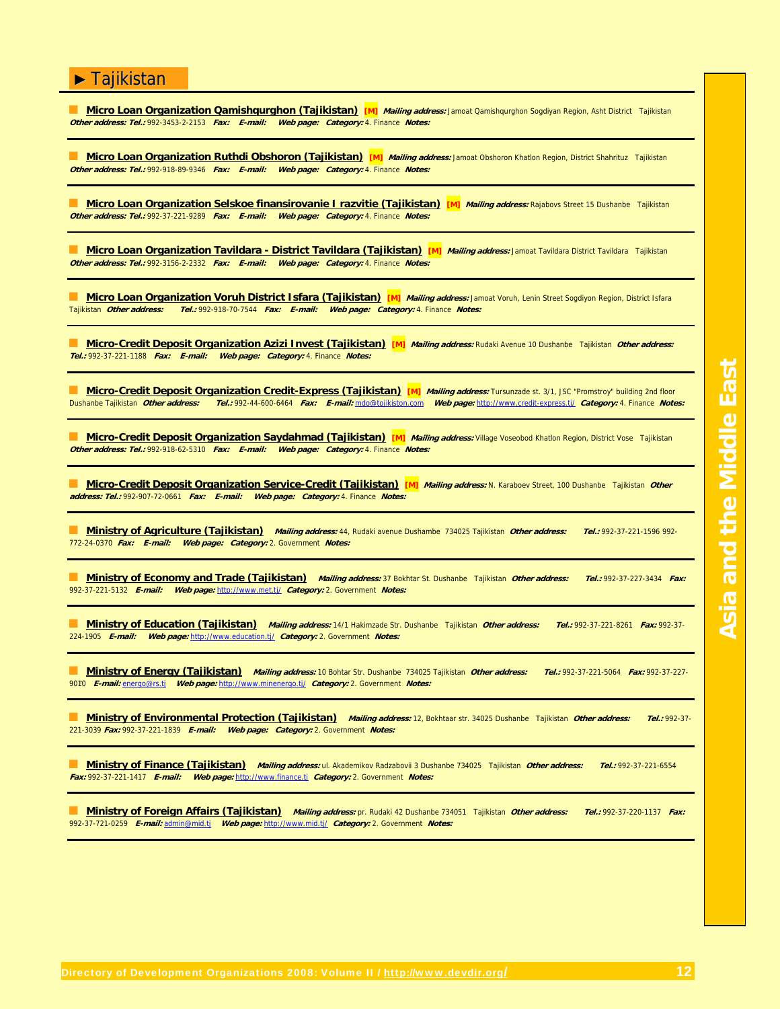### **Micro Loan Organization Qamishqurghon (Tajikistan) [M]** *Mailing address:* Jamoat Qamishqurghon Sogdiyan Region, Asht District Tajikistan **Other address: Tel.:** 992-3453-2-2153 **Fax: E-mail: Web page: Category:** 4. Finance **Notes: Micro Loan Organization Ruthdi Obshoron (Tajikistan) [M] Mailing address: Jamoat Obshoron Khatlon Region, District Shahrituz Tajikistan Other address: Tel.:** 992-918-89-9346 **Fax: E-mail: Web page: Category:** 4. Finance **Notes: Micro Loan Organization Selskoe finansirovanie I razvitie (Tajikistan) [M]** Mailing address: Rajabovs Street 15 Dushanbe Tajikistan **Other address: Tel.:** 992-37-221-9289 **Fax: E-mail: Web page: Category:** 4. Finance **Notes: Micro Loan Organization Tavildara - District Tavildara (Tajikistan) [M]** Mailing address: Jamoat Tavildara District Tavildara Tajikistan **Other address: Tel.:** 992-3156-2-2332 **Fax: E-mail: Web page: Category:** 4. Finance **Notes: Micro Loan Organization Voruh District Isfara (Tajikistan) [M]** *Mailing address:* Jamoat Voruh, Lenin Street Sogdiyon Region, District Isfara<br>Tajikistan *Other address: Tel.:* 992-918-70-7544 *Fax: E-mail: Web page: Cate* Tajikistan **Other address: Tel.:** 992-918-70-7544 **Fax: E-mail: Web page: Category:** 4. Finance **Notes:** ■ **Micro-Credit Deposit Organization Azizi Invest (Tajikistan) [M] Mailing address:** Rudaki Avenue 10 Dushanbe Tajikistan **Other address: Tel.:** 992-37-221-1188 **Fax: E-mail: Web page: Category:** 4. Finance **Notes:** ■ **Micro-Credit Deposit Organization Credit-Express (Tajikistan) [M] Mailing address:** Tursunzade st. 3/1, JSC "Promstroy" building 2nd floor Dushanbe Tajikistan **Other address: Tel.:** 992-44-600-6464 **Fax: E-mail:** mdo@tojikiston.com **Web page:** http://www.credit-express.tj/ **Category:** 4. Finance **Notes:** ■ **Micro-Credit Deposit Organization Saydahmad (Tajikistan) [M] Mailing address:** Village Voseobod Khatlon Region, District Vose Tajikistan **Other address: Tel.:** 992-918-62-5310 **Fax: E-mail: Web page: Category:** 4. Finance **Notes:** ■ **Micro-Credit Deposit Organization Service-Credit (Tajikistan) [M] Mailing address:** N. Karaboev Street, 100 Dushanbe Tajikistan **Other address: Tel.:** 992-907-72-0661 **Fax: E-mail: Web page: Category:** 4. Finance **Notes:** ■ **Ministry of Agriculture (Tajikistan) Mailing address:** 44, Rudaki avenue Dushambe 734025 Tajikistan **Other address: Tel.:** 992-37-221-1596 992- 772-24-0370 **Fax: E-mail: Web page: Category:** 2. Government **Notes:** ■ **Ministry of Economy and Trade (Tajikistan) Mailing address:** 37 Bokhtar St. Dushanbe Tajikistan **Other address: Tel.:** 992-37-227-3434 **Fax:** 992-37-221-5132 **E-mail: Web page:** http://www.met.tj/ **Category:** 2. Government **Notes:** ■ **Ministry of Education (Tajikistan) Mailing address:** 14/1 Hakimzade Str. Dushanbe Tajikistan **Other address: Tel.:** 992-37-221-8261 **Fax:** 992-37- 224-1905 **E-mail: Web page:** http://www.education.tj/ **Category:** 2. Government **Notes:** ■ **Ministry of Energy (Tajikistan) Mailing address:** 10 Bohtar Str. Dushanbe 734025 Tajikistan **Other address: Tel.:** 992-37-221-5064 **Fax:** 992-37-227- 9010 **E-mail:** energo@rs.tj **Web page:** http://www.minenergo.tj/ **Category:** 2. Government **Notes:** ■ **Ministry of Environmental Protection (Tajikistan) Mailing address:** 12, Bokhtaar str. 34025 Dushanbe Tajikistan **Other address: Tel.:** 992-37-

► Tajikistan

■ **Ministry of Finance (Tajikistan) Mailing address:** ul. Akademikov Radzabovii 3 Dushanbe 734025 Tajikistan **Other address: Tel.:** 992-37-221-6554 **Fax:** 992-37-221-1417 **E-mail: Web page:** http://www.finance.tj **Category:** 2. Government **Notes:**

■ **Ministry of Foreign Affairs (Tajikistan) Mailing address:** pr. Rudaki 42 Dushanbe 734051 Tajikistan **Other address: Tel.:** 992-37-220-1137 **Fax:** 992-37-721-0259 **E-mail:** admin@mid.tj **Web page:** http://www.mid.tj/ **Category:** 2. Government **Notes:**

221-3039 **Fax:** 992-37-221-1839 **E-mail: Web page: Category:** 2. Government **Notes:**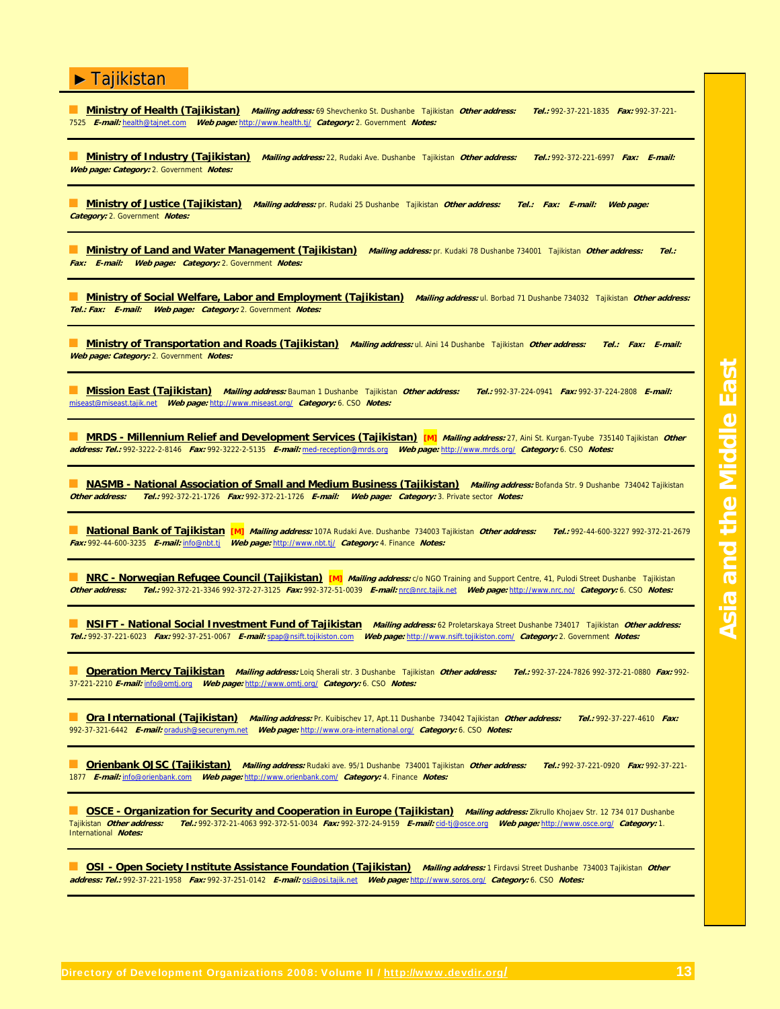■ **Ministry of Health (Tajikistan) Mailing address:** 69 Shevchenko St. Dushanbe Tajikistan **Other address: Tel.:** 992-37-221-1835 **Fax:** 992-37-221- 7525 **E-mail:** health@tajnet.com **Web page:** http://www.health.tj/ **Category:** 2. Government **Notes:**

■ **Ministry of Industry (Tajikistan) Mailing address:** 22, Rudaki Ave. Dushanbe Tajikistan **Other address: Tel.:** 992-372-221-6997 **Fax: E-mail: Web page: Category:** 2. Government **Notes:**

■ **Ministry of Justice (Tajikistan) Mailing address:** pr. Rudaki 25 Dushanbe Tajikistan **Other address: Tel.: Fax: E-mail: Web page: Category:** 2. Government **Notes:**

■ **Ministry of Land and Water Management (Tajikistan) Mailing address:** pr. Kudaki 78 Dushanbe 734001 Tajikistan **Other address: Tel.: Fax: E-mail: Web page: Category:** 2. Government **Notes:**

■ **Ministry of Social Welfare, Labor and Employment (Tajikistan) Mailing address:** ul. Borbad 71 Dushanbe 734032 Tajikistan **Other address: Tel.: Fax: E-mail: Web page: Category:** 2. Government **Notes:**

■ **Ministry of Transportation and Roads (Tajikistan) Mailing address:** ul. Aini 14 Dushanbe Tajikistan **Other address: Tel.: Fax: E-mail: Web page: Category:** 2. Government **Notes:**

■ **Mission East (Tajikistan) Mailing address:** Bauman 1 Dushanbe Tajikistan **Other address: Tel.:** 992-37-224-0941 **Fax:** 992-37-224-2808 **E-mail:** miseast@miseast.tajik.net **Web page:** http://www.miseast.org/ **Category:** 6. CSO **Notes:**

■ **MRDS - Millennium Relief and Development Services (Tajikistan) [M] Mailing address:** 27, Aini St. Kurgan-Tyube 735140 Tajikistan **Other address: Tel.:** 992-3222-2-8146 **Fax:** 992-3222-2-5135 **E-mail:** med-reception@mrds.org **Web page:** http://www.mrds.org/ **Category:** 6. CSO **Notes:**

**MASMB - National Association of Small and Medium Business (Tajikistan)** *Mailing address:* **Bofanda Str. 9 Dushanbe 734042 Tajikistan<br>Other address: Tel.: 992-372-21-1726 Fax: 992-372-21-1726 F-mail: Web page: Category: 3. Other address: Tel.:** 992-372-21-1726 **Fax:** 992-372-21-1726 **E-mail: Web page: Category:** 3. Private sector **Notes:**

■ **National Bank of Tajikistan [M] Mailing address:** 107A Rudaki Ave. Dushanbe 734003 Tajikistan **Other address: Tel.:** 992-44-600-3227 992-372-21-2679 **Fax:** 992-44-600-3235 **E-mail:** info@nbt.tj **Web page:** http://www.nbt.tj/ **Category:** 4. Finance **Notes:**

**BEARC - Norwegian Refugee Council (Tajikistan) [M]** *Mailing address: c/o* NGO Training and Support Centre, 41, Pulodi Street Dushanbe Tajikistan<br> **Other address: Tel.: 992-372-21-3346 992-372-27-3125 Fax: 992-372-51-0039 Other address: Tel.:** 992-372-21-3346 992-372-27-3125 **Fax:** 992-372-51-0039 **E-mail:** nrc@nrc.tajik.net **Web page:** http://www.nrc.no/ **Category:** 6. CSO **Notes:**

■ **NSIFT - National Social Investment Fund of Tajikistan Mailing address:** 62 Proletarskaya Street Dushanbe 734017 Tajikistan **Other address: Tel.:** 992-37-221-6023 **Fax:** 992-37-251-0067 **E-mail:** spap@nsift.tojikiston.com **Web page:** http://www.nsift.tojikiston.com/ **Category:** 2. Government **Notes:**

■ **Operation Mercy Tajikistan Mailing address:** Loiq Sherali str. 3 Dushanbe Tajikistan **Other address: Tel.:** 992-37-224-7826 992-372-21-0880 **Fax:** 992- 37-221-2210 **E-mail:** info@omtj.org **Web page:** http://www.omtj.org/ **Category:** 6. CSO **Notes:**

■ **Ora International (Tajikistan) Mailing address:** Pr. Kuibischev 17, Apt.11 Dushanbe 734042 Tajikistan **Other address: Tel.:** 992-37-227-4610 **Fax:** 992-37-321-6442 **E-mail:** oradush@securenym.net **Web page:** http://www.ora-international.org/ **Category:** 6. CSO **Notes:**

■ **Orienbank OJSC (Tajikistan) Mailing address:** Rudaki ave. 95/1 Dushanbe 734001 Tajikistan **Other address: Tel.:** 992-37-221-0920 **Fax:** 992-37-221- 1877 **E-mail:** info@orienbank.com **Web page:** http://www.orienbank.com/ **Category:** 4. Finance **Notes:**

■ **OSCE - Organization for Security and Cooperation in Europe (Tajikistan)** Mailing address: Zikrullo Khojaev Str. 12 734 017 Dushanbe Tajikistan **Other address: Tel.:** 992-372-21-4063 992-372-51-0034 **Fax:** 992-372-24-9159 **E-mail:** cid-tj@osce.org **Web page:** http://www.osce.org/ **Category:** 1. International **Notes:**

■ **OSI - Open Society Institute Assistance Foundation (Tajikistan) Mailing address:** 1 Firdavsi Street Dushanbe 734003 Tajikistan **Other address: Tel.:** 992-37-221-1958 **Fax:** 992-37-251-0142 **E-mail:** osi@osi.tajik.net **Web page:** http://www.soros.org/ **Category:** 6. CSO **Notes:**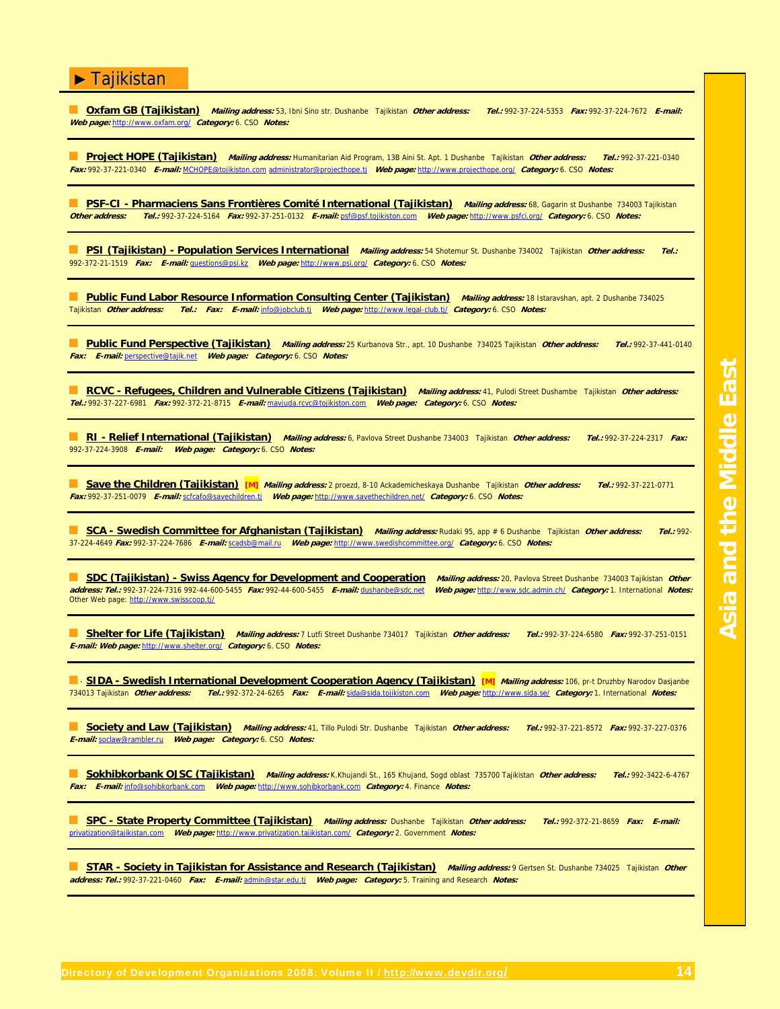■ **Oxfam GB (Tajikistan) Mailing address:** 53, Ibni Sino str. Dushanbe Tajikistan **Other address: Tel.:** 992-37-224-5353 **Fax:** 992-37-224-7672 **E-mail: Web page:** http://www.oxfam.org/ **Category:** 6. CSO **Notes:**

■ **Project HOPE (Tajikistan) Mailing address:** Humanitarian Aid Program, 13B Aini St. Apt. 1 Dushanbe Tajikistan **Other address: Tel.:** 992-37-221-0340 **Fax:** 992-37-221-0340 **E-mail:** MCHOPE@tojikiston.com administrator@projecthope.tj **Web page:** http://www.projecthope.org/ **Category:** 6. CSO **Notes:**

**BI PSF-CI - Pharmaciens Sans Frontières Comité International (Tajikistan) Mailing address: 68, Gagarin st Dushanbe 734003 Tajikistan<br>Other address: Tel.: 992-37-224-5164 Fax: 992-37-251-0132 E-mail: psf@psf.toiikiston.com Other address: Tel.:** 992-37-224-5164 **Fax:** 992-37-251-0132 **E-mail:** psf@psf.tojikiston.com **Web page:** http://www.psfci.org/ **Category:** 6. CSO **Notes:**

■ **PSI (Tajikistan) - Population Services International Mailing address:** 54 Shotemur St. Dushanbe 734002 Tajikistan **Other address: Tel.:** 992-372-21-1519 **Fax: E-mail:** questions@psi.kz **Web page:** http://www.psi.org/ **Category:** 6. CSO **Notes:**

**Dublic Fund Labor Resource Information Consulting Center (Tajikistan) Mailing address: 18 Istaravshan, apt. 2 Dushanbe 734025<br>Tajikistan** *Other address: Tel.: Fax: E-mail:* **info@jobclub.tj Web page: http://www.legal-club.** Tajikistan **Other address: Tel.: Fax: E-mail:** info@jobclub.tj **Web page:** http://www.legal-club.tj/ **Category:** 6. CSO **Notes:**

■ **Public Fund Perspective (Tajikistan) Mailing address:** 25 Kurbanova Str., apt. 10 Dushanbe 734025 Tajikistan **Other address: Tel.:** 992-37-441-0140 **Fax: E-mail:** perspective@tajik.net **Web page: Category:** 6. CSO **Notes:**

■ **RCVC - Refugees, Children and Vulnerable Citizens (Tajikistan) Mailing address:** 41, Pulodi Street Dushambe Tajikistan **Other address: Tel.:** 992-37-227-6981 **Fax:** 992-372-21-8715 **E-mail:** mavjuda.rcvc@tojikiston.com **Web page: Category:** 6. CSO **Notes:**

■ **RI - Relief International (Tajikistan) Mailing address:** 6, Pavlova Street Dushanbe 734003 Tajikistan **Other address: Tel.:** 992-37-224-2317 **Fax:** 992-37-224-3908 **E-mail: Web page: Category:** 6. CSO **Notes:**

■ **Save the Children (Tajikistan) [M] Mailing address:** 2 proezd, 8-10 Ackademicheskaya Dushanbe Tajikistan **Other address: Tel.:** 992-37-221-0771 **Fax:** 992-37-251-0079 **E-mail:** scfcafo@savechildren.tj **Web page:** http://www.savethechildren.net/ **Category:** 6. CSO **Notes:**

■ **SCA - Swedish Committee for Afghanistan (Tajikistan) Mailing address:** Rudaki 95, app # 6 Dushanbe Tajikistan **Other address: Tel.:** 992- 37-224-4649 **Fax:** 992-37-224-7686 **E-mail:** scadsb@mail.ru **Web page:** http://www.swedishcommittee.org/ **Category:** 6. CSO **Notes:**

■ **SDC (Tajikistan) - Swiss Agency for Development and Cooperation Mailing address:** 20, Pavlova Street Dushanbe 734003 Tajikistan **Other address: Tel.:** 992-37-224-7316 992-44-600-5455 **Fax:** 992-44-600-5455 **E-mail:** dushanbe@sdc.net **Web page:** http://www.sdc.admin.ch/ **Category:** 1. International **Notes:** Other Web page: http://www.swisscoop.tj/

■ **Shelter for Life (Tajikistan) Mailing address:** 7 Lutfi Street Dushanbe 734017 Tajikistan **Other address: Tel.:** 992-37-224-6580 **Fax:** 992-37-251-0151 **E-mail: Web page:** http://www.shelter.org/ **Category:** 6. CSO **Notes:**

**■ · SIDA - Swedish International Development Cooperation Agency (Tajikistan) [M]** Mailing address: 106, pr-t Druzhby Narodov Dasjanbe 734013 Tajikistan **Other address: Tel.:** 992-372-24-6265 **Fax: E-mail:** sida@sida.tojikiston.com **Web page:** http://www.sida.se/ **Category:** 1. International **Notes:**

■ **Society and Law (Tajikistan) Mailing address:** 41, Tillo Pulodi Str. Dushanbe Tajikistan **Other address: Tel.:** 992-37-221-8572 **Fax:** 992-37-227-0376 **E-mail:** soclaw@rambler.ru **Web page: Category:** 6. CSO **Notes:**

■ **Sokhibkorbank OJSC (Tajikistan) Mailing address:** K.Khujandi St., 165 Khujand, Sogd oblast 735700 Tajikistan **Other address: Tel.:** 992-3422-6-4767 **Fax: E-mail:** info@sohibkorbank.com **Web page:** http://www.sohibkorbank.com **Category:** 4. Finance **Notes:**

■ **SPC - State Property Committee (Tajikistan) Mailing address:** Dushanbe Tajikistan **Other address: Tel.:** 992-372-21-8659 **Fax: E-mail:** privatization@tajikistan.com **Web page:** http://www.privatization.tajikistan.com/ **Category:** 2. Government **Notes:**

■ **STAR - Society in Tajikistan for Assistance and Research (Tajikistan) Mailing address:** 9 Gertsen St. Dushanbe 734025 Tajikistan **Other address: Tel.:** 992-37-221-0460 **Fax: E-mail:** admin@star.edu.tj **Web page: Category:** 5. Training and Research **Notes:**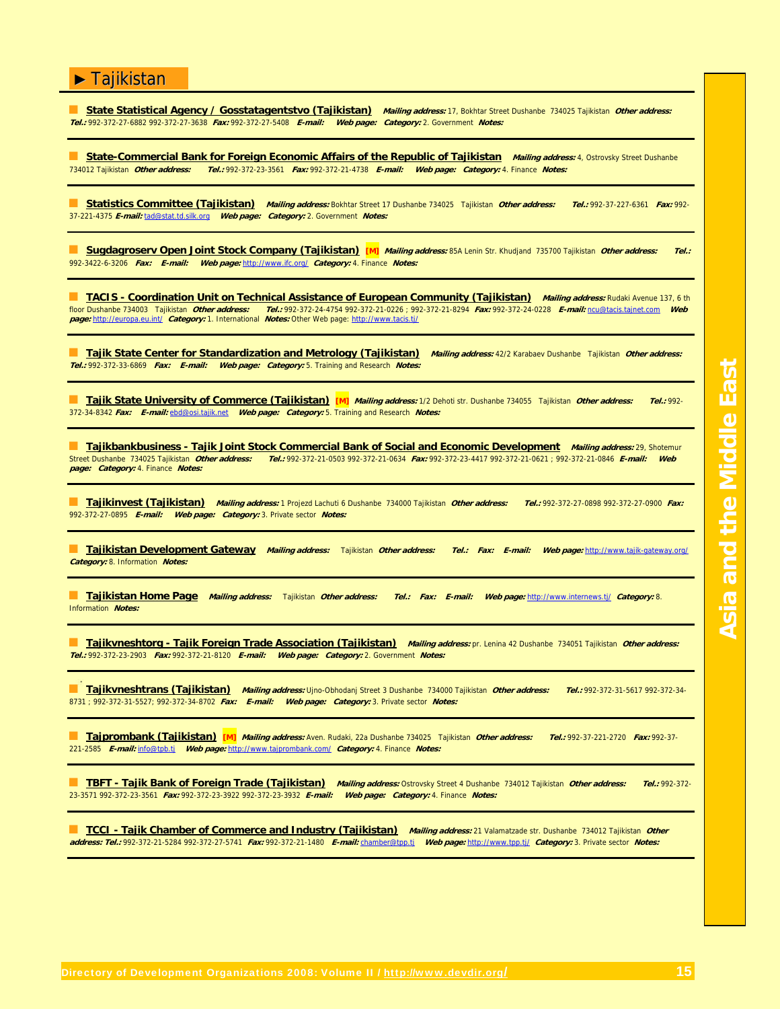■ **State Statistical Agency / Gosstatagentstvo (Tajikistan) Mailing address:** 17, Bokhtar Street Dushanbe 734025 Tajikistan **Other address: Tel.:** 992-372-27-6882 992-372-27-3638 **Fax:** 992-372-27-5408 **E-mail: Web page: Category:** 2. Government **Notes:**

**State-Commercial Bank for Foreign Economic Affairs of the Republic of Tajikistan Mailing address: 4, Ostrovsky Street Dushanbe** 734012 Tajikistan **Other address: Tel.:** 992-372-23-3561 **Fax:** 992-372-21-4738 **E-mail: Web page: Category:** 4. Finance **Notes:**

■ **Statistics Committee (Tajikistan) Mailing address:** Bokhtar Street 17 Dushanbe 734025 Tajikistan **Other address: Tel.:** 992-37-227-6361 **Fax:** 992- 37-221-4375 **E-mail:** tad@stat.td.silk.org **Web page: Category:** 2. Government **Notes:**

■ **Sugdagroserv Open Joint Stock Company (Tajikistan) [M] Mailing address:** 85A Lenin Str. Khudjand 735700 Tajikistan **Other address: Tel.:** 992-3422-6-3206 **Fax: E-mail: Web page:** http://www.ifc.org/ **Category:** 4. Finance **Notes:**

■ **TACIS - Coordination Unit on Technical Assistance of European Community (Tajikistan) Mailing address:** Rudaki Avenue 137, 6 th floor Dushanbe 734003 Tajikistan **Other address: Tel.:** 992-372-24-4754 992-372-21-0226 ; 992-372-21-8294 **Fax:** 992-372-24-0228 **E-mail:** ncu@tacis.tajnet.com **Web page:** http://europa.eu.int/ **Category:** 1. International **Notes:** Other Web page: http://www.tacis.tj/

■ **Tajik State Center for Standardization and Metrology (Tajikistan) Mailing address:** 42/2 Karabaev Dushanbe Tajikistan **Other address: Tel.:** 992-372-33-6869 **Fax: E-mail: Web page: Category:** 5. Training and Research **Notes:**

■ **Tajik State University of Commerce (Tajikistan) [M] Mailing address:** 1/2 Dehoti str. Dushanbe 734055 Tajikistan **Other address: Tel.:** 992- 372-34-8342 **Fax: E-mail:** ebd@osi.tajik.net **Web page: Category:** 5. Training and Research **Notes:**

■ **Tajikbankbusiness - Tajik Joint Stock Commercial Bank of Social and Economic Development** *Mailing address:* **29, Shotemur<br>Street Dushanbe 734025 Tajikistan** *Other address: Tel.: 992-372-21-0603 992-372-21-0634 Fax: 992-*Street Dushanbe 734025 Tajikistan **Other address: Tel.:** 992-372-21-0503 992-372-21-0634 **Fax:** 992-372-23-4417 992-372-21-0621 ; 992-372-21-0846 **E-mail: Web page: Category:** 4. Finance **Notes:**

■ **Tajikinvest (Tajikistan) Mailing address:** 1 Projezd Lachuti 6 Dushanbe 734000 Tajikistan **Other address: Tel.:** 992-372-27-0898 992-372-27-0900 **Fax:** 992-372-27-0895 **E-mail: Web page: Category:** 3. Private sector **Notes:**

■ **Tajikistan Development Gateway Mailing address:** Tajikistan **Other address: Tel.: Fax: E-mail: Web page:** http://www.tajik-gateway.org/ **Category:** 8. Information **Notes:**

■ **Tajikistan Home Page Mailing address:** Tajikistan **Other address: Tel.: Fax: E-mail: Web page:** http://www.internews.tj/ **Category:** 8. Information **Notes:**

**Tajikvneshtorg - Tajik Foreign Trade Association (Tajikistan)** Mailing address: pr. Lenina 42 Dushanbe 734051 Tajikistan Other address: **Tel.:** 992-372-23-2903 **Fax:** 992-372-21-8120 **E-mail: Web page: Category:** 2. Government **Notes:**

■ **Tajikvneshtrans (Tajikistan) Mailing address:** Ujno-Obhodanj Street 3 Dushanbe 734000 Tajikistan **Other address: Tel.:** 992-372-31-5617 992-372-34- 8731 ; 992-372-31-5527; 992-372-34-8702 **Fax: E-mail: Web page: Category:** 3. Private sector **Notes:**

■ **Tajprombank (Tajikistan) [M] Mailing address:** Aven. Rudaki, 22a Dushanbe 734025 Tajikistan **Other address: Tel.:** 992-37-221-2720 **Fax:** 992-37- 221-2585 **E-mail:** info@tpb.tj **Web page:** http://www.tajprombank.com/ **Category:** 4. Finance **Notes:**

■ **TBFT - Tajik Bank of Foreign Trade (Tajikistan) Mailing address:** Ostrovsky Street 4 Dushanbe 734012 Tajikistan **Other address: Tel.:** 992-372- 23-3571 992-372-23-3561 **Fax:** 992-372-23-3922 992-372-23-3932 **E-mail: Web page: Category:** 4. Finance **Notes:**

■ **TCCI - Tajik Chamber of Commerce and Industry (Tajikistan) Mailing address:** 21 Valamatzade str. Dushanbe 734012 Tajikistan **Other address: Tel.:** 992-372-21-5284 992-372-27-5741 **Fax:** 992-372-21-1480 **E-mail:** chamber@tpp.tj **Web page:** http://www.tpp.tj/ **Category:** 3. Private sector **Notes:**